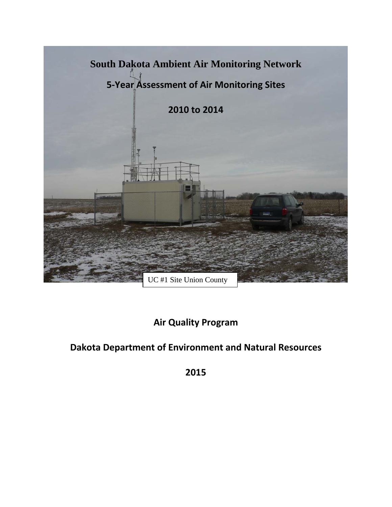

**Air Quality Program**

# **Dakota Department of Environment and Natural Resources**

**2015**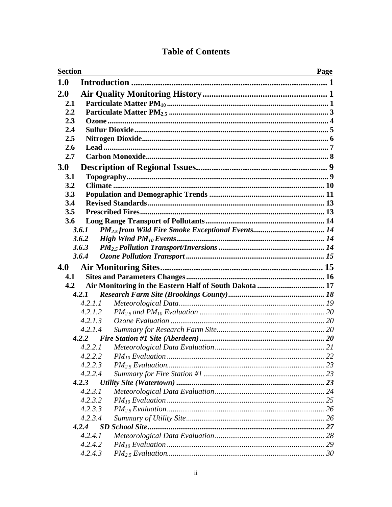| <b>Section</b> |         | Page |
|----------------|---------|------|
| 1.0            |         |      |
| 2.0            |         |      |
| 2.1            |         |      |
| 2.2            |         |      |
| 2.3            |         |      |
| 2.4            |         |      |
| 2.5            |         |      |
| 2.6            |         |      |
| 2.7            |         |      |
| 3.0            |         |      |
| 3.1            |         |      |
| 3.2            |         |      |
| 3.3            |         |      |
| 3.4            |         |      |
| 3.5            |         |      |
| 3.6            |         |      |
|                | 3.6.1   |      |
|                | 3.6.2   |      |
|                | 3.6.3   |      |
|                | 3.6.4   |      |
| 4.0            |         |      |
| 4.1            |         |      |
| $4.2^{\circ}$  |         |      |
|                | 4.2.1   |      |
|                | 4.2.1.1 |      |
|                | 4.2.1.2 |      |
|                | 4.2.1.3 |      |
|                | 4.2.1.4 |      |
|                |         |      |
|                | 4.2.2.1 |      |
|                | 4.2.2.2 |      |
|                | 4.2.2.3 |      |
|                | 4.2.2.4 |      |
|                | 4.2.3   |      |
|                | 4.2.3.1 |      |
|                | 4.2.3.2 |      |
|                | 4.2.3.3 |      |
|                | 4.2.3.4 |      |
|                | 4.2.4   |      |
|                | 4.2.4.1 |      |
|                | 4.2.4.2 |      |
|                | 4.2.4.3 |      |

# **Table of Contents**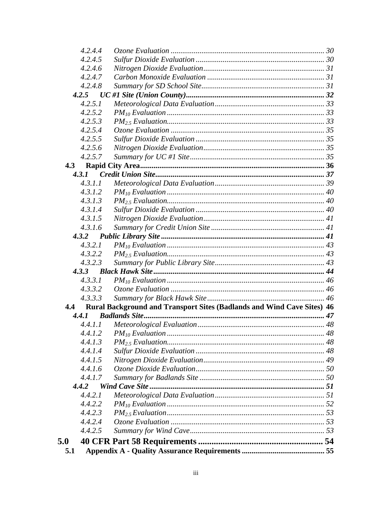|       | 4.2.4.4 |                                                                        |  |
|-------|---------|------------------------------------------------------------------------|--|
|       | 4.2.4.5 |                                                                        |  |
|       | 4.2.4.6 |                                                                        |  |
|       | 4.2.4.7 |                                                                        |  |
|       | 4.2.4.8 |                                                                        |  |
| 4.2.5 |         |                                                                        |  |
|       | 4.2.5.1 |                                                                        |  |
|       | 4.2.5.2 |                                                                        |  |
|       | 4.2.5.3 |                                                                        |  |
|       | 4.2.5.4 |                                                                        |  |
|       | 4.2.5.5 |                                                                        |  |
|       | 4.2.5.6 |                                                                        |  |
|       | 4.2.5.7 |                                                                        |  |
| 4.3   |         |                                                                        |  |
| 4.3.1 |         |                                                                        |  |
|       | 4.3.1.1 |                                                                        |  |
|       | 4.3.1.2 |                                                                        |  |
|       | 4.3.1.3 |                                                                        |  |
|       | 4.3.1.4 |                                                                        |  |
|       | 4.3.1.5 |                                                                        |  |
|       | 4.3.1.6 |                                                                        |  |
| 4.3.2 |         |                                                                        |  |
|       | 4.3.2.1 |                                                                        |  |
|       | 4.3.2.2 |                                                                        |  |
|       | 4.3.2.3 |                                                                        |  |
| 4.3.3 |         |                                                                        |  |
|       | 4.3.3.1 |                                                                        |  |
|       | 4.3.3.2 |                                                                        |  |
|       | 4.3.3.3 |                                                                        |  |
| 4.4   |         | Rural Background and Transport Sites (Badlands and Wind Cave Sites) 46 |  |
| 4.4.1 |         |                                                                        |  |
|       | 4.4.1.1 |                                                                        |  |
|       | 4.4.1.2 |                                                                        |  |
|       | 4.4.1.3 |                                                                        |  |
|       | 4.4.1.4 |                                                                        |  |
|       | 4.4.1.5 |                                                                        |  |
|       | 4.4.1.6 |                                                                        |  |
|       | 4.4.1.7 |                                                                        |  |
|       |         |                                                                        |  |
|       | 4.4.2.1 |                                                                        |  |
|       | 4.4.2.2 |                                                                        |  |
|       | 4.4.2.3 |                                                                        |  |
|       | 4.4.2.4 |                                                                        |  |
|       | 4.4.2.5 |                                                                        |  |
| 5.0   |         |                                                                        |  |
| 5.1   |         |                                                                        |  |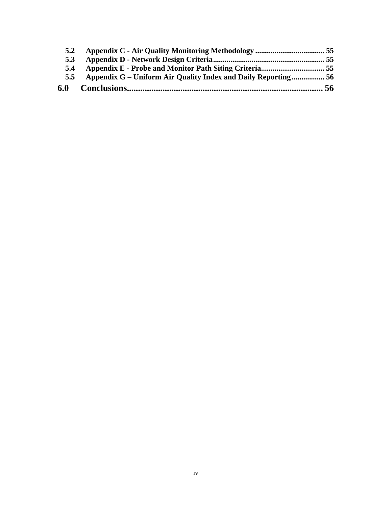| 5.2           |                                                               |  |
|---------------|---------------------------------------------------------------|--|
| 5.3           |                                                               |  |
| 5.4           |                                                               |  |
| $5.5^{\circ}$ | Appendix G – Uniform Air Quality Index and Daily Reporting 56 |  |
| 6.0           |                                                               |  |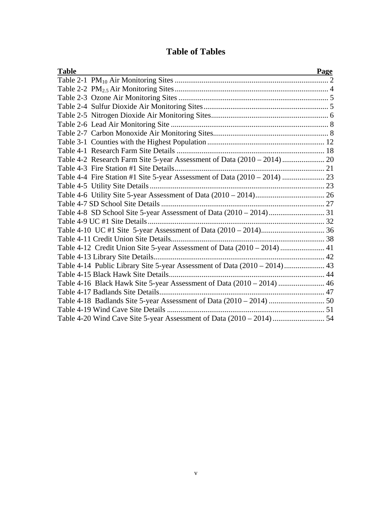# **Table of Tables**

| <b>Table</b>                                                              | Page |
|---------------------------------------------------------------------------|------|
|                                                                           |      |
|                                                                           |      |
|                                                                           |      |
|                                                                           |      |
|                                                                           |      |
|                                                                           |      |
|                                                                           |      |
|                                                                           |      |
|                                                                           |      |
|                                                                           |      |
|                                                                           |      |
|                                                                           |      |
|                                                                           |      |
|                                                                           |      |
|                                                                           |      |
|                                                                           |      |
|                                                                           |      |
|                                                                           |      |
|                                                                           |      |
| Table 4-12 Credit Union Site 5-year Assessment of Data (2010 – 2014)  41  |      |
|                                                                           |      |
| Table 4-14 Public Library Site 5-year Assessment of Data (2010 - 2014) 43 |      |
|                                                                           |      |
| Table 4-16 Black Hawk Site 5-year Assessment of Data (2010 - 2014)  46    |      |
|                                                                           |      |
|                                                                           |      |
|                                                                           |      |
| Table 4-20 Wind Cave Site 5-year Assessment of Data (2010 - 2014)  54     |      |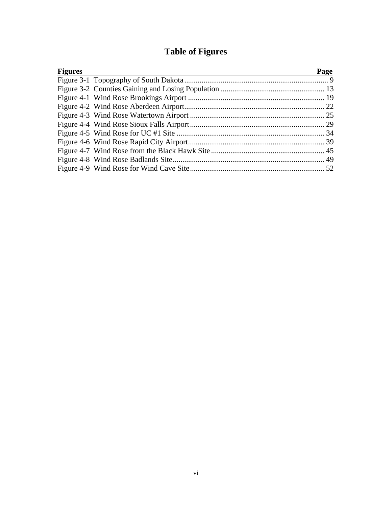# **Table of Figures**

| <b>Figures</b> | Page |
|----------------|------|
|                |      |
|                |      |
|                |      |
|                |      |
|                |      |
|                |      |
|                |      |
|                |      |
|                |      |
|                |      |
|                |      |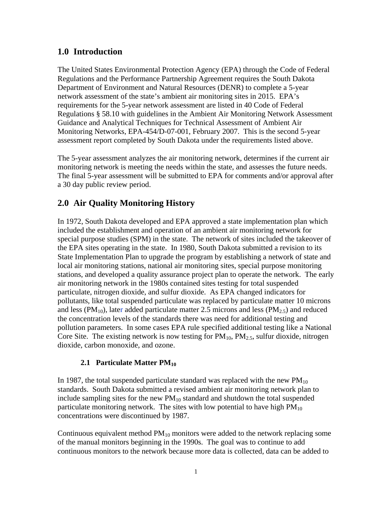# **1.0 Introduction**

The United States Environmental Protection Agency (EPA) through the Code of Federal Regulations and the Performance Partnership Agreement requires the South Dakota Department of Environment and Natural Resources (DENR) to complete a 5-year network assessment of the state's ambient air monitoring sites in 2015. EPA's requirements for the 5-year network assessment are listed in 40 Code of Federal Regulations § 58.10 with guidelines in the Ambient Air Monitoring Network Assessment Guidance and Analytical Techniques for Technical Assessment of Ambient Air Monitoring Networks, EPA-454/D-07-001, February 2007. This is the second 5-year assessment report completed by South Dakota under the requirements listed above.

The 5-year assessment analyzes the air monitoring network, determines if the current air monitoring network is meeting the needs within the state, and assesses the future needs. The final 5-year assessment will be submitted to EPA for comments and/or approval after a 30 day public review period.

# **2.0 Air Quality Monitoring History**

In 1972, South Dakota developed and EPA approved a state implementation plan which included the establishment and operation of an ambient air monitoring network for special purpose studies (SPM) in the state. The network of sites included the takeover of the EPA sites operating in the state. In 1980, South Dakota submitted a revision to its State Implementation Plan to upgrade the program by establishing a network of state and local air monitoring stations, national air monitoring sites, special purpose monitoring stations, and developed a quality assurance project plan to operate the network. The early air monitoring network in the 1980s contained sites testing for total suspended particulate, nitrogen dioxide, and sulfur dioxide. As EPA changed indicators for pollutants, like total suspended particulate was replaced by particulate matter 10 microns and less ( $PM_{10}$ ), later added particulate matter 2.5 microns and less ( $PM_{2.5}$ ) and reduced the concentration levels of the standards there was need for additional testing and pollution parameters. In some cases EPA rule specified additional testing like a National Core Site. The existing network is now testing for  $PM_{10}$ ,  $PM_{2.5}$ , sulfur dioxide, nitrogen dioxide, carbon monoxide, and ozone.

# **2.1 Particulate Matter PM10**

In 1987, the total suspended particulate standard was replaced with the new  $PM_{10}$ standards. South Dakota submitted a revised ambient air monitoring network plan to include sampling sites for the new  $PM_{10}$  standard and shutdown the total suspended particulate monitoring network. The sites with low potential to have high  $PM_{10}$ concentrations were discontinued by 1987.

Continuous equivalent method  $PM_{10}$  monitors were added to the network replacing some of the manual monitors beginning in the 1990s. The goal was to continue to add continuous monitors to the network because more data is collected, data can be added to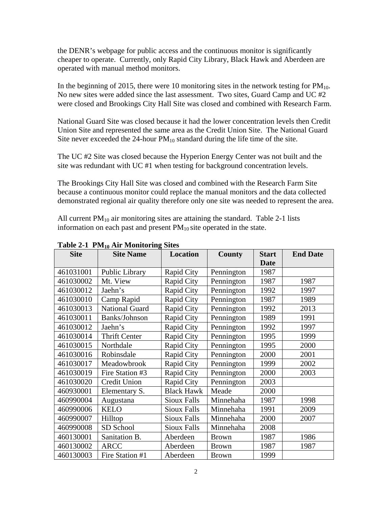the DENR's webpage for public access and the continuous monitor is significantly cheaper to operate. Currently, only Rapid City Library, Black Hawk and Aberdeen are operated with manual method monitors.

In the beginning of 2015, there were 10 monitoring sites in the network testing for  $PM_{10}$ . No new sites were added since the last assessment. Two sites, Guard Camp and UC #2 were closed and Brookings City Hall Site was closed and combined with Research Farm.

National Guard Site was closed because it had the lower concentration levels then Credit Union Site and represented the same area as the Credit Union Site. The National Guard Site never exceeded the  $24$ -hour  $PM_{10}$  standard during the life time of the site.

The UC #2 Site was closed because the Hyperion Energy Center was not built and the site was redundant with UC #1 when testing for background concentration levels.

The Brookings City Hall Site was closed and combined with the Research Farm Site because a continuous monitor could replace the manual monitors and the data collected demonstrated regional air quality therefore only one site was needed to represent the area.

All current  $PM_{10}$  air monitoring sites are attaining the standard. Table 2-1 lists information on each past and present  $PM_{10}$  site operated in the state.

| <b>Site</b> | <b>Site Name</b>     | <b>Location</b>    | <b>County</b> | <b>Start</b> | <b>End Date</b> |
|-------------|----------------------|--------------------|---------------|--------------|-----------------|
|             |                      |                    |               | <b>Date</b>  |                 |
| 461031001   | Public Library       | <b>Rapid City</b>  | Pennington    | 1987         |                 |
| 461030002   | Mt. View             | Rapid City         | Pennington    | 1987         | 1987            |
| 461030012   | Jaehn's              | Rapid City         | Pennington    | 1992         | 1997            |
| 461030010   | Camp Rapid           | <b>Rapid City</b>  | Pennington    | 1987         | 1989            |
| 461030013   | National Guard       | Rapid City         | Pennington    | 1992         | 2013            |
| 461030011   | Banks/Johnson        | Rapid City         | Pennington    | 1989         | 1991            |
| 461030012   | Jaehn's              | Rapid City         | Pennington    | 1992         | 1997            |
| 461030014   | <b>Thrift Center</b> | <b>Rapid City</b>  | Pennington    | 1995         | 1999            |
| 461030015   | Northdale            | <b>Rapid City</b>  | Pennington    | 1995         | 2000            |
| 461030016   | Robinsdale           | Rapid City         | Pennington    | 2000         | 2001            |
| 461030017   | Meadowbrook          | Rapid City         | Pennington    | 1999         | 2002            |
| 461030019   | Fire Station #3      | Rapid City         | Pennington    | 2000         | 2003            |
| 461030020   | Credit Union         | Rapid City         | Pennington    | 2003         |                 |
| 460930001   | Elementary S.        | <b>Black Hawk</b>  | Meade         | 2000         |                 |
| 460990004   | Augustana            | <b>Sioux Falls</b> | Minnehaha     | 1987         | 1998            |
| 460990006   | <b>KELO</b>          | <b>Sioux Falls</b> | Minnehaha     | 1991         | 2009            |
| 460990007   | Hilltop              | Sioux Falls        | Minnehaha     | 2000         | 2007            |
| 460990008   | SD School            | <b>Sioux Falls</b> | Minnehaha     | 2008         |                 |
| 460130001   | Sanitation B.        | Aberdeen           | <b>Brown</b>  | 1987         | 1986            |
| 460130002   | <b>ARCC</b>          | Aberdeen           | <b>Brown</b>  | 1987         | 1987            |
| 460130003   | Fire Station #1      | Aberdeen           | <b>Brown</b>  | 1999         |                 |

**Table 2-1 PM10 Air Monitoring Sites**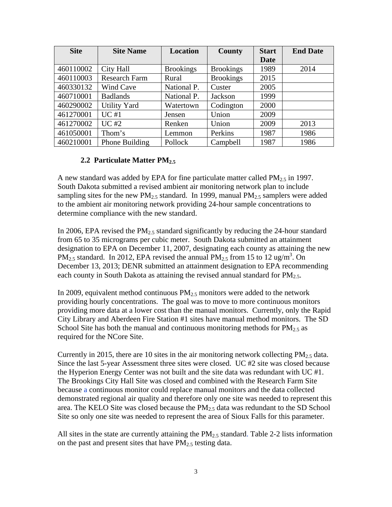| <b>Site</b> | <b>Site Name</b>     | <b>Location</b>  | County           | <b>Start</b> | <b>End Date</b> |
|-------------|----------------------|------------------|------------------|--------------|-----------------|
|             |                      |                  |                  | Date         |                 |
| 460110002   | City Hall            | <b>Brookings</b> | <b>Brookings</b> | 1989         | 2014            |
| 460110003   | <b>Research Farm</b> | Rural            | <b>Brookings</b> | 2015         |                 |
| 460330132   | Wind Cave            | National P.      | Custer           | 2005         |                 |
| 460710001   | <b>Badlands</b>      | National P.      | Jackson          | 1999         |                 |
| 460290002   | <b>Utility Yard</b>  | Watertown        | Codington        | 2000         |                 |
| 461270001   | UC#1                 | Jensen           | Union            | 2009         |                 |
| 461270002   | <b>UC#2</b>          | Renken           | Union            | 2009         | 2013            |
| 461050001   | Thom's               | Lemmon           | Perkins          | 1987         | 1986            |
| 460210001   | Phone Building       | Pollock          | Campbell         | 1987         | 1986            |

#### **2.2 Particulate Matter PM2.5**

A new standard was added by EPA for fine particulate matter called  $PM_{2.5}$  in 1997. South Dakota submitted a revised ambient air monitoring network plan to include sampling sites for the new  $PM_{2.5}$  standard. In 1999, manual  $PM_{2.5}$  samplers were added to the ambient air monitoring network providing 24-hour sample concentrations to determine compliance with the new standard.

In 2006, EPA revised the  $PM<sub>2.5</sub>$  standard significantly by reducing the 24-hour standard from 65 to 35 micrograms per cubic meter. South Dakota submitted an attainment designation to EPA on December 11, 2007, designating each county as attaining the new PM<sub>2.5</sub> standard. In 2012, EPA revised the annual PM<sub>2.5</sub> from 15 to 12 ug/m<sup>3</sup>. On December 13, 2013; DENR submitted an attainment designation to EPA recommending each county in South Dakota as attaining the revised annual standard for  $PM<sub>2.5</sub>$ .

In 2009, equivalent method continuous  $PM<sub>2.5</sub>$  monitors were added to the network providing hourly concentrations. The goal was to move to more continuous monitors providing more data at a lower cost than the manual monitors. Currently, only the Rapid City Library and Aberdeen Fire Station #1 sites have manual method monitors. The SD School Site has both the manual and continuous monitoring methods for  $PM<sub>2.5</sub>$  as required for the NCore Site.

Currently in 2015, there are 10 sites in the air monitoring network collecting  $PM_{2.5}$  data. Since the last 5-year Assessment three sites were closed. UC #2 site was closed because the Hyperion Energy Center was not built and the site data was redundant with UC #1. The Brookings City Hall Site was closed and combined with the Research Farm Site because a continuous monitor could replace manual monitors and the data collected demonstrated regional air quality and therefore only one site was needed to represent this area. The KELO Site was closed because the  $PM<sub>2.5</sub>$  data was redundant to the SD School Site so only one site was needed to represent the area of Sioux Falls for this parameter.

All sites in the state are currently attaining the  $PM_{2.5}$  standard. Table 2-2 lists information on the past and present sites that have  $PM_{2.5}$  testing data.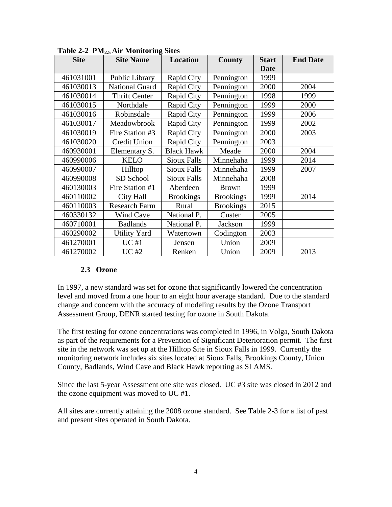| <b>Site</b> | <b>Site Name</b>      | <b>Location</b>    | County           | <b>Start</b> | <b>End Date</b> |
|-------------|-----------------------|--------------------|------------------|--------------|-----------------|
|             |                       |                    |                  | <b>Date</b>  |                 |
| 461031001   | Public Library        | Rapid City         | Pennington       | 1999         |                 |
| 461030013   | <b>National Guard</b> | Rapid City         | Pennington       | 2000         | 2004            |
| 461030014   | <b>Thrift Center</b>  | Rapid City         | Pennington       | 1998         | 1999            |
| 461030015   | Northdale             | Rapid City         | Pennington       | 1999         | 2000            |
| 461030016   | Robinsdale            | Rapid City         | Pennington       | 1999         | 2006            |
| 461030017   | Meadowbrook           | Rapid City         | Pennington       | 1999         | 2002            |
| 461030019   | Fire Station #3       | Rapid City         | Pennington       | 2000         | 2003            |
| 461030020   | Credit Union          | Rapid City         | Pennington       | 2003         |                 |
| 460930001   | Elementary S.         | <b>Black Hawk</b>  | Meade            | 2000         | 2004            |
| 460990006   | <b>KELO</b>           | <b>Sioux Falls</b> | Minnehaha        | 1999         | 2014            |
| 460990007   | Hilltop               | <b>Sioux Falls</b> | Minnehaha        | 1999         | 2007            |
| 460990008   | SD School             | <b>Sioux Falls</b> | Minnehaha        | 2008         |                 |
| 460130003   | Fire Station #1       | Aberdeen           | <b>Brown</b>     | 1999         |                 |
| 460110002   | City Hall             | <b>Brookings</b>   | <b>Brookings</b> | 1999         | 2014            |
| 460110003   | <b>Research Farm</b>  | Rural              | <b>Brookings</b> | 2015         |                 |
| 460330132   | <b>Wind Cave</b>      | National P.        | Custer           | 2005         |                 |
| 460710001   | <b>Badlands</b>       | National P.        | Jackson          | 1999         |                 |
| 460290002   | <b>Utility Yard</b>   | Watertown          | Codington        | 2003         |                 |
| 461270001   | UC#1                  | Jensen             | Union            | 2009         |                 |
| 461270002   | UC #2                 | Renken             | Union            | 2009         | 2013            |

**Table 2-2 PM2.5 Air Monitoring Sites** 

# **2.3 Ozone**

In 1997, a new standard was set for ozone that significantly lowered the concentration level and moved from a one hour to an eight hour average standard. Due to the standard change and concern with the accuracy of modeling results by the Ozone Transport Assessment Group, DENR started testing for ozone in South Dakota.

The first testing for ozone concentrations was completed in 1996, in Volga, South Dakota as part of the requirements for a Prevention of Significant Deterioration permit. The first site in the network was set up at the Hilltop Site in Sioux Falls in 1999. Currently the monitoring network includes six sites located at Sioux Falls, Brookings County, Union County, Badlands, Wind Cave and Black Hawk reporting as SLAMS.

Since the last 5-year Assessment one site was closed. UC #3 site was closed in 2012 and the ozone equipment was moved to UC #1.

All sites are currently attaining the 2008 ozone standard. See Table 2-3 for a list of past and present sites operated in South Dakota.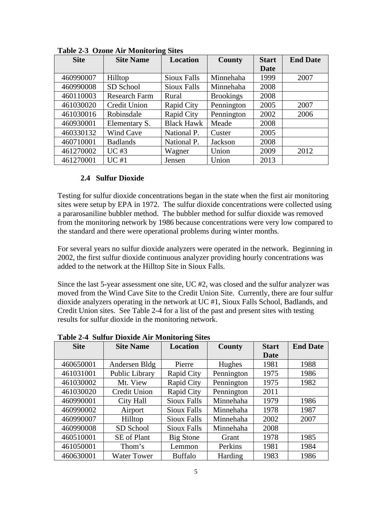| <b>Site</b> | <b>Site Name</b>     | <b>Location</b>    | County           | <b>Start</b> | <b>End Date</b> |
|-------------|----------------------|--------------------|------------------|--------------|-----------------|
|             |                      |                    |                  | <b>Date</b>  |                 |
| 460990007   | Hilltop              | Sioux Falls        | Minnehaha        | 1999         | 2007            |
| 460990008   | SD School            | <b>Sioux Falls</b> | Minnehaha        | 2008         |                 |
| 460110003   | <b>Research Farm</b> | Rural              | <b>Brookings</b> | 2008         |                 |
| 461030020   | Credit Union         | Rapid City         | Pennington       | 2005         | 2007            |
| 461030016   | Robinsdale           | Rapid City         | Pennington       | 2002         | 2006            |
| 460930001   | Elementary S.        | <b>Black Hawk</b>  | Meade            | 2008         |                 |
| 460330132   | <b>Wind Cave</b>     | National P.        | Custer           | 2005         |                 |
| 460710001   | <b>Badlands</b>      | National P.        | Jackson          | 2008         |                 |
| 461270002   | $UC$ #3              | Wagner             | Union            | 2009         | 2012            |
| 461270001   | UC#1                 | Jensen             | Union            | 2013         |                 |

**Table 2-3 Ozone Air Monitoring Sites** 

#### **2.4 Sulfur Dioxide**

Testing for sulfur dioxide concentrations began in the state when the first air monitoring sites were setup by EPA in 1972. The sulfur dioxide concentrations were collected using a pararosaniline bubbler method. The bubbler method for sulfur dioxide was removed from the monitoring network by 1986 because concentrations were very low compared to the standard and there were operational problems during winter months.

For several years no sulfur dioxide analyzers were operated in the network. Beginning in 2002, the first sulfur dioxide continuous analyzer providing hourly concentrations was added to the network at the Hilltop Site in Sioux Falls.

Since the last 5-year assessment one site, UC #2, was closed and the sulfur analyzer was moved from the Wind Cave Site to the Credit Union Site. Currently, there are four sulfur dioxide analyzers operating in the network at UC #1, Sioux Falls School, Badlands, and Credit Union sites. See Table 2-4 for a list of the past and present sites with testing results for sulfur dioxide in the monitoring network.

| <b>Site</b> | <b>Site Name</b>      | <b>Location</b>  | County     | <b>Start</b> | <b>End Date</b> |
|-------------|-----------------------|------------------|------------|--------------|-----------------|
|             |                       |                  |            | <b>Date</b>  |                 |
| 460650001   | Andersen Bldg         | Pierre           | Hughes     | 1981         | 1988            |
| 461031001   | <b>Public Library</b> | Rapid City       | Pennington | 1975         | 1986            |
| 461030002   | Mt. View              | Rapid City       | Pennington | 1975         | 1982            |
| 461030020   | <b>Credit Union</b>   | Rapid City       | Pennington | 2011         |                 |
| 460990001   | City Hall             | Sioux Falls      | Minnehaha  | 1979         | 1986            |
| 460990002   | Airport               | Sioux Falls      | Minnehaha  | 1978         | 1987            |
| 460990007   | Hilltop               | Sioux Falls      | Minnehaha  | 2002         | 2007            |
| 460990008   | SD School             | Sioux Falls      | Minnehaha  | 2008         |                 |
| 460510001   | <b>SE</b> of Plant    | <b>Big Stone</b> | Grant      | 1978         | 1985            |
| 461050001   | Thom's                | Lemmon           | Perkins    | 1981         | 1984            |
| 460630001   | <b>Water Tower</b>    | <b>Buffalo</b>   | Harding    | 1983         | 1986            |

**Table 2-4 Sulfur Dioxide Air Monitoring Sites**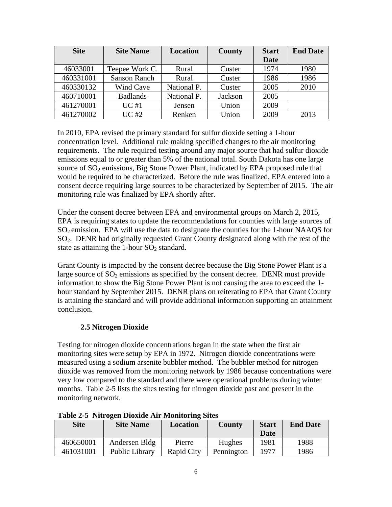| <b>Site</b> | <b>Site Name</b> | Location    | <b>County</b> | <b>Start</b> | <b>End Date</b> |
|-------------|------------------|-------------|---------------|--------------|-----------------|
|             |                  |             |               | <b>Date</b>  |                 |
| 46033001    | Teepee Work C.   | Rural       | Custer        | 1974         | 1980            |
| 460331001   | Sanson Ranch     | Rural       | Custer        | 1986         | 1986            |
| 460330132   | Wind Cave        | National P. | Custer        | 2005         | 2010            |
| 460710001   | <b>Badlands</b>  | National P. | Jackson       | 2005         |                 |
| 461270001   | UC#1             | Jensen      | Union         | 2009         |                 |
| 461270002   | $UC$ #2          | Renken      | Union         | 2009         | 2013            |

In 2010, EPA revised the primary standard for sulfur dioxide setting a 1-hour concentration level. Additional rule making specified changes to the air monitoring requirements. The rule required testing around any major source that had sulfur dioxide emissions equal to or greater than 5% of the national total. South Dakota has one large source of  $SO<sub>2</sub>$  emissions, Big Stone Power Plant, indicated by EPA proposed rule that would be required to be characterized. Before the rule was finalized, EPA entered into a consent decree requiring large sources to be characterized by September of 2015. The air monitoring rule was finalized by EPA shortly after.

Under the consent decree between EPA and environmental groups on March 2, 2015, EPA is requiring states to update the recommendations for counties with large sources of  $SO<sub>2</sub>$  emission. EPA will use the data to designate the counties for the 1-hour NAAQS for SO2. DENR had originally requested Grant County designated along with the rest of the state as attaining the 1-hour  $SO<sub>2</sub>$  standard.

Grant County is impacted by the consent decree because the Big Stone Power Plant is a large source of  $SO_2$  emissions as specified by the consent decree. DENR must provide information to show the Big Stone Power Plant is not causing the area to exceed the 1 hour standard by September 2015. DENR plans on reiterating to EPA that Grant County is attaining the standard and will provide additional information supporting an attainment conclusion.

# **2.5 Nitrogen Dioxide**

Testing for nitrogen dioxide concentrations began in the state when the first air monitoring sites were setup by EPA in 1972. Nitrogen dioxide concentrations were measured using a sodium arsenite bubbler method. The bubbler method for nitrogen dioxide was removed from the monitoring network by 1986 because concentrations were very low compared to the standard and there were operational problems during winter months. Table 2-5 lists the sites testing for nitrogen dioxide past and present in the monitoring network.

| <b>Site</b> | <b>Site Name</b>      | Location   | <b>County</b> | <b>Start</b> | <b>End Date</b> |
|-------------|-----------------------|------------|---------------|--------------|-----------------|
|             |                       |            |               | Date         |                 |
| 460650001   | Andersen Bldg         | Pierre     | Hughes        | 1981         | 1988            |
| 461031001   | <b>Public Library</b> | Rapid City | Pennington    | 1977         | 1986            |

**Table 2-5 Nitrogen Dioxide Air Monitoring Sites**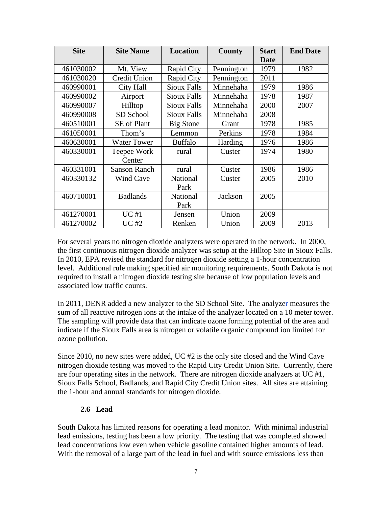| <b>Site</b> | <b>Site Name</b>    | <b>Location</b>    |            | <b>Start</b> | <b>End Date</b> |
|-------------|---------------------|--------------------|------------|--------------|-----------------|
|             |                     |                    |            | <b>Date</b>  |                 |
| 461030002   | Mt. View            | Rapid City         | Pennington | 1979         | 1982            |
| 461030020   | Credit Union        | Rapid City         | Pennington | 2011         |                 |
| 460990001   | City Hall           | <b>Sioux Falls</b> | Minnehaha  | 1979         | 1986            |
| 460990002   | Airport             | Sioux Falls        | Minnehaha  | 1978         | 1987            |
| 460990007   | Hilltop             | <b>Sioux Falls</b> | Minnehaha  | 2000         | 2007            |
| 460990008   | SD School           | <b>Sioux Falls</b> | Minnehaha  | 2008         |                 |
| 460510001   | <b>SE</b> of Plant  | <b>Big Stone</b>   | Grant      | 1978         | 1985            |
| 461050001   | Thom's              | Lemmon             | Perkins    | 1978         | 1984            |
| 460630001   | <b>Water Tower</b>  | <b>Buffalo</b>     | Harding    | 1976         | 1986            |
| 460330001   | Teepee Work         | rural              | Custer     | 1974         | 1980            |
|             | Center              |                    |            |              |                 |
| 460331001   | <b>Sanson Ranch</b> | rural              | Custer     | 1986         | 1986            |
| 460330132   | Wind Cave           | National           | Custer     | 2005         | 2010            |
|             |                     | Park               |            |              |                 |
| 460710001   | <b>Badlands</b>     | National           | Jackson    | 2005         |                 |
|             |                     | Park               |            |              |                 |
| 461270001   | UC#1                | Jensen             | Union      | 2009         |                 |
| 461270002   | UC #2               | Renken             | Union      | 2009         | 2013            |

For several years no nitrogen dioxide analyzers were operated in the network. In 2000, the first continuous nitrogen dioxide analyzer was setup at the Hilltop Site in Sioux Falls. In 2010, EPA revised the standard for nitrogen dioxide setting a 1-hour concentration level. Additional rule making specified air monitoring requirements. South Dakota is not required to install a nitrogen dioxide testing site because of low population levels and associated low traffic counts.

In 2011, DENR added a new analyzer to the SD School Site. The analyzer measures the sum of all reactive nitrogen ions at the intake of the analyzer located on a 10 meter tower. The sampling will provide data that can indicate ozone forming potential of the area and indicate if the Sioux Falls area is nitrogen or volatile organic compound ion limited for ozone pollution.

Since 2010, no new sites were added, UC #2 is the only site closed and the Wind Cave nitrogen dioxide testing was moved to the Rapid City Credit Union Site. Currently, there are four operating sites in the network. There are nitrogen dioxide analyzers at UC #1, Sioux Falls School, Badlands, and Rapid City Credit Union sites. All sites are attaining the 1-hour and annual standards for nitrogen dioxide.

### **2.6 Lead**

South Dakota has limited reasons for operating a lead monitor. With minimal industrial lead emissions, testing has been a low priority. The testing that was completed showed lead concentrations low even when vehicle gasoline contained higher amounts of lead. With the removal of a large part of the lead in fuel and with source emissions less than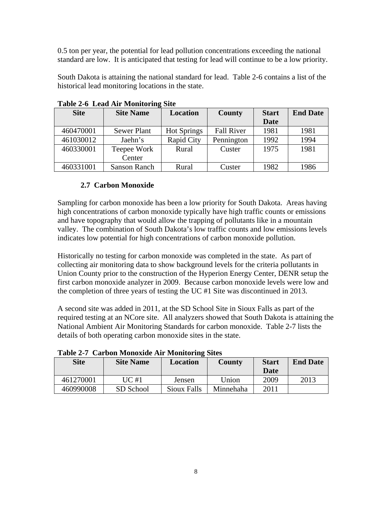0.5 ton per year, the potential for lead pollution concentrations exceeding the national standard are low. It is anticipated that testing for lead will continue to be a low priority.

South Dakota is attaining the national standard for lead. Table 2-6 contains a list of the historical lead monitoring locations in the state.

| <b>Site</b> | <b>Site Name</b>      | Location           | County            | <b>Start</b><br><b>Date</b> | <b>End Date</b> |
|-------------|-----------------------|--------------------|-------------------|-----------------------------|-----------------|
| 460470001   | <b>Sewer Plant</b>    | <b>Hot Springs</b> | <b>Fall River</b> | 1981                        | 1981            |
| 461030012   | Jaehn's               | Rapid City         | Pennington        | 1992                        | 1994            |
| 460330001   | Teepee Work<br>Center | Rural              | Custer            | 1975                        | 1981            |
| 460331001   | Sanson Ranch          | Rural              | Custer            | 1982                        | 1986            |

**Table 2-6 Lead Air Monitoring Site** 

# **2.7 Carbon Monoxide**

Sampling for carbon monoxide has been a low priority for South Dakota. Areas having high concentrations of carbon monoxide typically have high traffic counts or emissions and have topography that would allow the trapping of pollutants like in a mountain valley. The combination of South Dakota's low traffic counts and low emissions levels indicates low potential for high concentrations of carbon monoxide pollution.

Historically no testing for carbon monoxide was completed in the state. As part of collecting air monitoring data to show background levels for the criteria pollutants in Union County prior to the construction of the Hyperion Energy Center, DENR setup the first carbon monoxide analyzer in 2009. Because carbon monoxide levels were low and the completion of three years of testing the UC #1 Site was discontinued in 2013.

A second site was added in 2011, at the SD School Site in Sioux Falls as part of the required testing at an NCore site. All analyzers showed that South Dakota is attaining the National Ambient Air Monitoring Standards for carbon monoxide. Table 2-7 lists the details of both operating carbon monoxide sites in the state.

| <b>Site</b> | <u>UMI MUH MIUMUMUU TIIL MIUMIUHIIL MIUM</u><br><b>Site Name</b> | Location    | <b>County</b> | <b>Start</b><br>Date | <b>End Date</b> |
|-------------|------------------------------------------------------------------|-------------|---------------|----------------------|-----------------|
| 461270001   | UC #1                                                            | Jensen      | Union         | 2009                 | 2013            |
| 460990008   | SD School                                                        | Sioux Falls | Minnehaha     | 2011                 |                 |

**Table 2-7 Carbon Monoxide Air Monitoring Sites**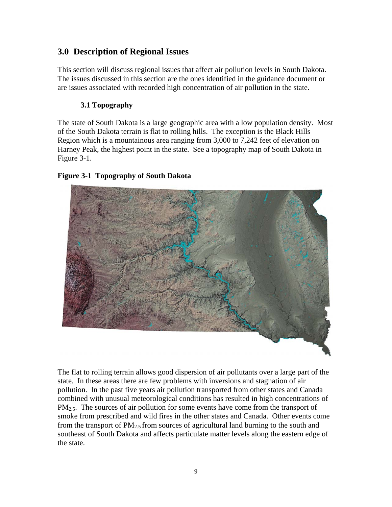# **3.0 Description of Regional Issues**

This section will discuss regional issues that affect air pollution levels in South Dakota. The issues discussed in this section are the ones identified in the guidance document or are issues associated with recorded high concentration of air pollution in the state.

# **3.1 Topography**

The state of South Dakota is a large geographic area with a low population density. Most of the South Dakota terrain is flat to rolling hills. The exception is the Black Hills Region which is a mountainous area ranging from 3,000 to 7,242 feet of elevation on Harney Peak, the highest point in the state. See a topography map of South Dakota in Figure 3-1.

# **Figure 3-1 Topography of South Dakota**



The flat to rolling terrain allows good dispersion of air pollutants over a large part of the state. In these areas there are few problems with inversions and stagnation of air pollution. In the past five years air pollution transported from other states and Canada combined with unusual meteorological conditions has resulted in high concentrations of  $PM<sub>2.5</sub>$ . The sources of air pollution for some events have come from the transport of smoke from prescribed and wild fires in the other states and Canada. Other events come from the transport of  $PM_{2.5}$  from sources of agricultural land burning to the south and southeast of South Dakota and affects particulate matter levels along the eastern edge of the state.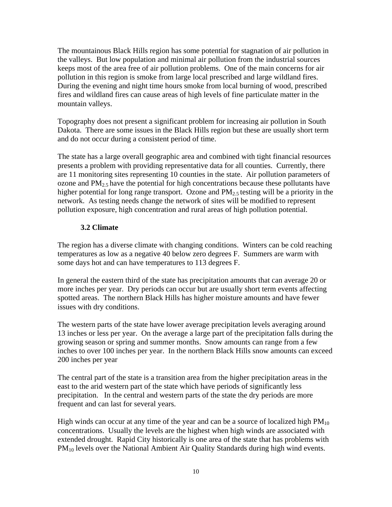The mountainous Black Hills region has some potential for stagnation of air pollution in the valleys. But low population and minimal air pollution from the industrial sources keeps most of the area free of air pollution problems. One of the main concerns for air pollution in this region is smoke from large local prescribed and large wildland fires. During the evening and night time hours smoke from local burning of wood, prescribed fires and wildland fires can cause areas of high levels of fine particulate matter in the mountain valleys.

Topography does not present a significant problem for increasing air pollution in South Dakota. There are some issues in the Black Hills region but these are usually short term and do not occur during a consistent period of time.

The state has a large overall geographic area and combined with tight financial resources presents a problem with providing representative data for all counties. Currently, there are 11 monitoring sites representing 10 counties in the state. Air pollution parameters of ozone and  $PM<sub>2.5</sub>$  have the potential for high concentrations because these pollutants have higher potential for long range transport. Ozone and  $PM_{2.5}$  testing will be a priority in the network. As testing needs change the network of sites will be modified to represent pollution exposure, high concentration and rural areas of high pollution potential.

### **3.2 Climate**

The region has a diverse climate with changing conditions. Winters can be cold reaching temperatures as low as a negative 40 below zero degrees F. Summers are warm with some days hot and can have temperatures to 113 degrees F.

In general the eastern third of the state has precipitation amounts that can average 20 or more inches per year. Dry periods can occur but are usually short term events affecting spotted areas. The northern Black Hills has higher moisture amounts and have fewer issues with dry conditions.

The western parts of the state have lower average precipitation levels averaging around 13 inches or less per year. On the average a large part of the precipitation falls during the growing season or spring and summer months. Snow amounts can range from a few inches to over 100 inches per year. In the northern Black Hills snow amounts can exceed 200 inches per year

The central part of the state is a transition area from the higher precipitation areas in the east to the arid western part of the state which have periods of significantly less precipitation. In the central and western parts of the state the dry periods are more frequent and can last for several years.

High winds can occur at any time of the year and can be a source of localized high  $PM_{10}$ concentrations. Usually the levels are the highest when high winds are associated with extended drought. Rapid City historically is one area of the state that has problems with PM<sub>10</sub> levels over the National Ambient Air Quality Standards during high wind events.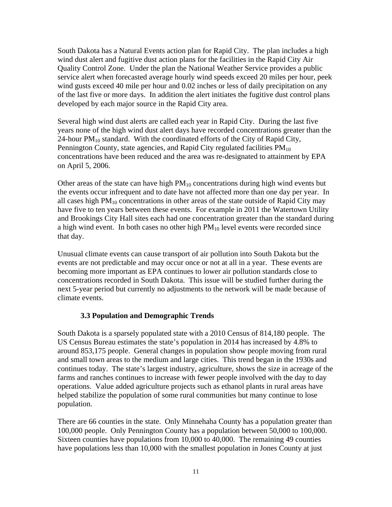South Dakota has a Natural Events action plan for Rapid City. The plan includes a high wind dust alert and fugitive dust action plans for the facilities in the Rapid City Air Quality Control Zone. Under the plan the National Weather Service provides a public service alert when forecasted average hourly wind speeds exceed 20 miles per hour, peek wind gusts exceed 40 mile per hour and 0.02 inches or less of daily precipitation on any of the last five or more days. In addition the alert initiates the fugitive dust control plans developed by each major source in the Rapid City area.

Several high wind dust alerts are called each year in Rapid City. During the last five years none of the high wind dust alert days have recorded concentrations greater than the 24-hour  $PM_{10}$  standard. With the coordinated efforts of the City of Rapid City, Pennington County, state agencies, and Rapid City regulated facilities  $PM_{10}$ concentrations have been reduced and the area was re-designated to attainment by EPA on April 5, 2006.

Other areas of the state can have high  $PM_{10}$  concentrations during high wind events but the events occur infrequent and to date have not affected more than one day per year. In all cases high  $PM_{10}$  concentrations in other areas of the state outside of Rapid City may have five to ten years between these events. For example in 2011 the Watertown Utility and Brookings City Hall sites each had one concentration greater than the standard during a high wind event. In both cases no other high  $PM_{10}$  level events were recorded since that day.

Unusual climate events can cause transport of air pollution into South Dakota but the events are not predictable and may occur once or not at all in a year. These events are becoming more important as EPA continues to lower air pollution standards close to concentrations recorded in South Dakota. This issue will be studied further during the next 5-year period but currently no adjustments to the network will be made because of climate events.

#### **3.3 Population and Demographic Trends**

South Dakota is a sparsely populated state with a 2010 Census of 814,180 people. The US Census Bureau estimates the state's population in 2014 has increased by 4.8% to around 853,175 people. General changes in population show people moving from rural and small town areas to the medium and large cities. This trend began in the 1930s and continues today. The state's largest industry, agriculture, shows the size in acreage of the farms and ranches continues to increase with fewer people involved with the day to day operations. Value added agriculture projects such as ethanol plants in rural areas have helped stabilize the population of some rural communities but many continue to lose population.

There are 66 counties in the state. Only Minnehaha County has a population greater than 100,000 people. Only Pennington County has a population between 50,000 to 100,000. Sixteen counties have populations from 10,000 to 40,000. The remaining 49 counties have populations less than 10,000 with the smallest population in Jones County at just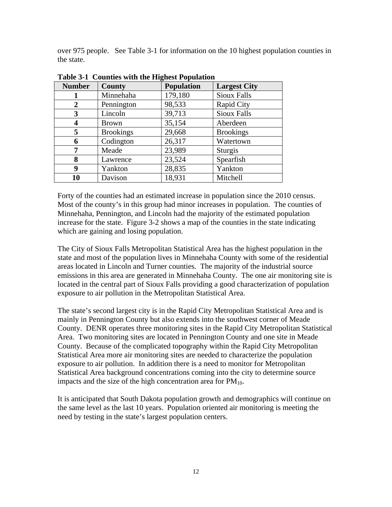over 975 people. See Table 3-1 for information on the 10 highest population counties in the state.

| <b>Number</b> | County           | <b>Population</b> | <b>Largest City</b> |
|---------------|------------------|-------------------|---------------------|
|               | Minnehaha        | 179,180           | <b>Sioux Falls</b>  |
| 2             | Pennington       | 98,533            | <b>Rapid City</b>   |
| 3             | Lincoln          | 39,713            | <b>Sioux Falls</b>  |
| 4             | <b>Brown</b>     | 35,154            | Aberdeen            |
| 5             | <b>Brookings</b> | 29,668            | <b>Brookings</b>    |
| 6             | Codington        | 26,317            | Watertown           |
| 7             | Meade            | 23,989            | Sturgis             |
| 8             | Lawrence         | 23,524            | Spearfish           |
| 9             | Yankton          | 28,835            | Yankton             |
| 10            | Davison          | 18,931            | Mitchell            |

**Table 3-1 Counties with the Highest Population**

Forty of the counties had an estimated increase in population since the 2010 census. Most of the county's in this group had minor increases in population. The counties of Minnehaha, Pennington, and Lincoln had the majority of the estimated population increase for the state. Figure 3-2 shows a map of the counties in the state indicating which are gaining and losing population.

The City of Sioux Falls Metropolitan Statistical Area has the highest population in the state and most of the population lives in Minnehaha County with some of the residential areas located in Lincoln and Turner counties. The majority of the industrial source emissions in this area are generated in Minnehaha County. The one air monitoring site is located in the central part of Sioux Falls providing a good characterization of population exposure to air pollution in the Metropolitan Statistical Area.

The state's second largest city is in the Rapid City Metropolitan Statistical Area and is mainly in Pennington County but also extends into the southwest corner of Meade County. DENR operates three monitoring sites in the Rapid City Metropolitan Statistical Area. Two monitoring sites are located in Pennington County and one site in Meade County. Because of the complicated topography within the Rapid City Metropolitan Statistical Area more air monitoring sites are needed to characterize the population exposure to air pollution. In addition there is a need to monitor for Metropolitan Statistical Area background concentrations coming into the city to determine source impacts and the size of the high concentration area for  $PM_{10}$ .

It is anticipated that South Dakota population growth and demographics will continue on the same level as the last 10 years. Population oriented air monitoring is meeting the need by testing in the state's largest population centers.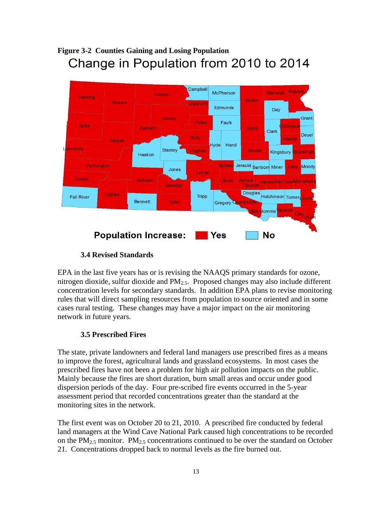# **Figure 3-2 Counties Gaining and Losing Population** Change in Population from 2010 to 2014



# **3.4 Revised Standards**

EPA in the last five years has or is revising the NAAQS primary standards for ozone, nitrogen dioxide, sulfur dioxide and  $PM<sub>2.5</sub>$ . Proposed changes may also include different concentration levels for secondary standards. In addition EPA plans to revise monitoring rules that will direct sampling resources from population to source oriented and in some cases rural testing. These changes may have a major impact on the air monitoring network in future years.

# **3.5 Prescribed Fires**

The state, private landowners and federal land managers use prescribed fires as a means to improve the forest, agricultural lands and grassland ecosystems. In most cases the prescribed fires have not been a problem for high air pollution impacts on the public. Mainly because the fires are short duration, burn small areas and occur under good dispersion periods of the day. Four pre-scribed fire events occurred in the 5-year assessment period that recorded concentrations greater than the standard at the monitoring sites in the network.

The first event was on October 20 to 21, 2010. A prescribed fire conducted by federal land managers at the Wind Cave National Park caused high concentrations to be recorded on the  $PM_{2.5}$  monitor.  $PM_{2.5}$  concentrations continued to be over the standard on October 21. Concentrations dropped back to normal levels as the fire burned out.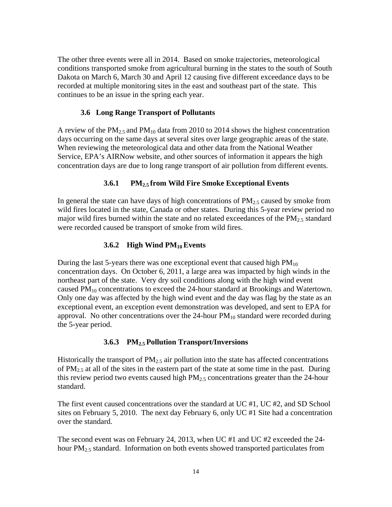The other three events were all in 2014. Based on smoke trajectories, meteorological conditions transported smoke from agricultural burning in the states to the south of South Dakota on March 6, March 30 and April 12 causing five different exceedance days to be recorded at multiple monitoring sites in the east and southeast part of the state. This continues to be an issue in the spring each year.

#### **3.6 Long Range Transport of Pollutants**

A review of the  $PM_{2.5}$  and  $PM_{10}$  data from 2010 to 2014 shows the highest concentration days occurring on the same days at several sites over large geographic areas of the state. When reviewing the meteorological data and other data from the National Weather Service, EPA's AIRNow website, and other sources of information it appears the high concentration days are due to long range transport of air pollution from different events.

### **3.6.1 PM2.5 from Wild Fire Smoke Exceptional Events**

In general the state can have days of high concentrations of  $PM_{2.5}$  caused by smoke from wild fires located in the state, Canada or other states. During this 5-year review period no major wild fires burned within the state and no related exceedances of the  $PM_{2.5}$  standard were recorded caused be transport of smoke from wild fires.

### **3.6.2 High Wind PM10 Events**

During the last 5-years there was one exceptional event that caused high  $PM_{10}$ concentration days. On October 6, 2011, a large area was impacted by high winds in the northeast part of the state. Very dry soil conditions along with the high wind event caused  $PM_{10}$  concentrations to exceed the 24-hour standard at Brookings and Watertown. Only one day was affected by the high wind event and the day was flag by the state as an exceptional event, an exception event demonstration was developed, and sent to EPA for approval. No other concentrations over the  $24$ -hour  $PM_{10}$  standard were recorded during the 5-year period.

#### **3.6.3 PM2.5 Pollution Transport/Inversions**

Historically the transport of  $PM_{2.5}$  air pollution into the state has affected concentrations of  $PM_{2.5}$  at all of the sites in the eastern part of the state at some time in the past. During this review period two events caused high  $PM_{2.5}$  concentrations greater than the 24-hour standard.

The first event caused concentrations over the standard at UC #1, UC #2, and SD School sites on February 5, 2010. The next day February 6, only UC #1 Site had a concentration over the standard.

The second event was on February 24, 2013, when UC #1 and UC #2 exceeded the 24 hour PM<sub>2.5</sub> standard. Information on both events showed transported particulates from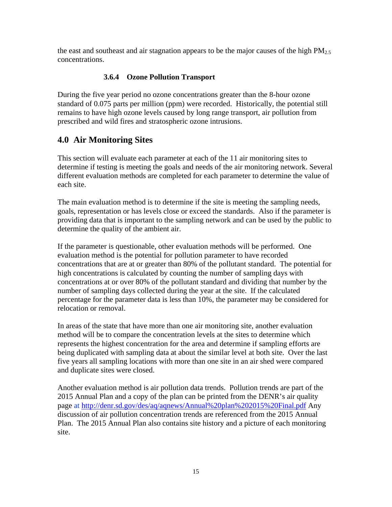the east and southeast and air stagnation appears to be the major causes of the high  $PM_{2.5}$ concentrations.

# **3.6.4 Ozone Pollution Transport**

During the five year period no ozone concentrations greater than the 8-hour ozone standard of 0.075 parts per million (ppm) were recorded. Historically, the potential still remains to have high ozone levels caused by long range transport, air pollution from prescribed and wild fires and stratospheric ozone intrusions.

# **4.0 Air Monitoring Sites**

This section will evaluate each parameter at each of the 11 air monitoring sites to determine if testing is meeting the goals and needs of the air monitoring network. Several different evaluation methods are completed for each parameter to determine the value of each site.

The main evaluation method is to determine if the site is meeting the sampling needs, goals, representation or has levels close or exceed the standards. Also if the parameter is providing data that is important to the sampling network and can be used by the public to determine the quality of the ambient air.

If the parameter is questionable, other evaluation methods will be performed. One evaluation method is the potential for pollution parameter to have recorded concentrations that are at or greater than 80% of the pollutant standard. The potential for high concentrations is calculated by counting the number of sampling days with concentrations at or over 80% of the pollutant standard and dividing that number by the number of sampling days collected during the year at the site. If the calculated percentage for the parameter data is less than 10%, the parameter may be considered for relocation or removal.

In areas of the state that have more than one air monitoring site, another evaluation method will be to compare the concentration levels at the sites to determine which represents the highest concentration for the area and determine if sampling efforts are being duplicated with sampling data at about the similar level at both site. Over the last five years all sampling locations with more than one site in an air shed were compared and duplicate sites were closed.

Another evaluation method is air pollution data trends. Pollution trends are part of the 2015 Annual Plan and a copy of the plan can be printed from the DENR's air quality page at http://denr.sd.gov/des/aq/aqnews/Annual%20plan%202015%20Final.pdf Any discussion of air pollution concentration trends are referenced from the 2015 Annual Plan. The 2015 Annual Plan also contains site history and a picture of each monitoring site.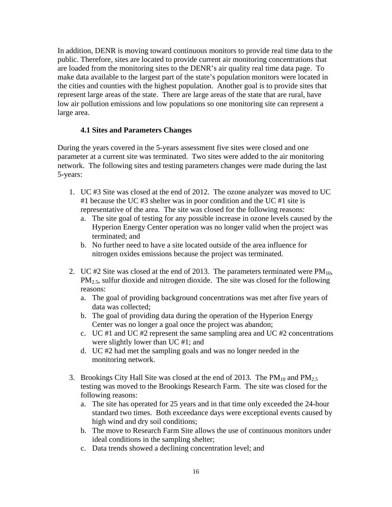In addition, DENR is moving toward continuous monitors to provide real time data to the public. Therefore, sites are located to provide current air monitoring concentrations that are loaded from the monitoring sites to the DENR's air quality real time data page. To make data available to the largest part of the state's population monitors were located in the cities and counties with the highest population. Another goal is to provide sites that represent large areas of the state. There are large areas of the state that are rural, have low air pollution emissions and low populations so one monitoring site can represent a large area.

#### **4.1 Sites and Parameters Changes**

During the years covered in the 5-years assessment five sites were closed and one parameter at a current site was terminated. Two sites were added to the air monitoring network. The following sites and testing parameters changes were made during the last 5-years:

- 1. UC #3 Site was closed at the end of 2012. The ozone analyzer was moved to UC #1 because the UC #3 shelter was in poor condition and the UC #1 site is representative of the area. The site was closed for the following reasons:
	- a. The site goal of testing for any possible increase in ozone levels caused by the Hyperion Energy Center operation was no longer valid when the project was terminated; and
	- b. No further need to have a site located outside of the area influence for nitrogen oxides emissions because the project was terminated.
- 2. UC #2 Site was closed at the end of 2013. The parameters terminated were  $PM_{10}$ , PM2.5, sulfur dioxide and nitrogen dioxide. The site was closed for the following reasons:
	- a. The goal of providing background concentrations was met after five years of data was collected;
	- b. The goal of providing data during the operation of the Hyperion Energy Center was no longer a goal once the project was abandon;
	- c. UC #1 and UC #2 represent the same sampling area and UC #2 concentrations were slightly lower than UC #1; and
	- d. UC #2 had met the sampling goals and was no longer needed in the monitoring network.
- 3. Brookings City Hall Site was closed at the end of 2013. The  $PM_{10}$  and  $PM_{2.5}$ testing was moved to the Brookings Research Farm. The site was closed for the following reasons:
	- a. The site has operated for 25 years and in that time only exceeded the 24-hour standard two times. Both exceedance days were exceptional events caused by high wind and dry soil conditions;
	- b. The move to Research Farm Site allows the use of continuous monitors under ideal conditions in the sampling shelter;
	- c. Data trends showed a declining concentration level; and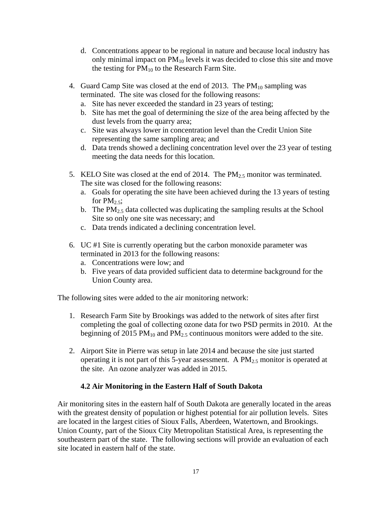- d. Concentrations appear to be regional in nature and because local industry has only minimal impact on  $PM_{10}$  levels it was decided to close this site and move the testing for  $PM_{10}$  to the Research Farm Site.
- 4. Guard Camp Site was closed at the end of 2013. The  $PM_{10}$  sampling was terminated. The site was closed for the following reasons:
	- a. Site has never exceeded the standard in 23 years of testing;
	- b. Site has met the goal of determining the size of the area being affected by the dust levels from the quarry area;
	- c. Site was always lower in concentration level than the Credit Union Site representing the same sampling area; and
	- d. Data trends showed a declining concentration level over the 23 year of testing meeting the data needs for this location.
- 5. KELO Site was closed at the end of 2014. The  $PM_{2.5}$  monitor was terminated. The site was closed for the following reasons:
	- a. Goals for operating the site have been achieved during the 13 years of testing for  $PM_{2.5}$ ;
	- b. The  $PM<sub>2.5</sub>$  data collected was duplicating the sampling results at the School Site so only one site was necessary; and
	- c. Data trends indicated a declining concentration level.
- 6. UC #1 Site is currently operating but the carbon monoxide parameter was terminated in 2013 for the following reasons:
	- a. Concentrations were low; and
	- b. Five years of data provided sufficient data to determine background for the Union County area.

The following sites were added to the air monitoring network:

- 1. Research Farm Site by Brookings was added to the network of sites after first completing the goal of collecting ozone data for two PSD permits in 2010. At the beginning of 2015 PM<sub>10</sub> and PM<sub>2.5</sub> continuous monitors were added to the site.
- 2. Airport Site in Pierre was setup in late 2014 and because the site just started operating it is not part of this 5-year assessment. A  $PM_{2.5}$  monitor is operated at the site. An ozone analyzer was added in 2015.

# **4.2 Air Monitoring in the Eastern Half of South Dakota**

Air monitoring sites in the eastern half of South Dakota are generally located in the areas with the greatest density of population or highest potential for air pollution levels. Sites are located in the largest cities of Sioux Falls, Aberdeen, Watertown, and Brookings. Union County, part of the Sioux City Metropolitan Statistical Area, is representing the southeastern part of the state. The following sections will provide an evaluation of each site located in eastern half of the state.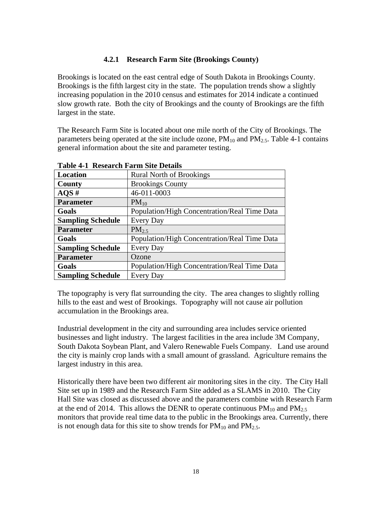## **4.2.1 Research Farm Site (Brookings County)**

Brookings is located on the east central edge of South Dakota in Brookings County. Brookings is the fifth largest city in the state. The population trends show a slightly increasing population in the 2010 census and estimates for 2014 indicate a continued slow growth rate. Both the city of Brookings and the county of Brookings are the fifth largest in the state.

The Research Farm Site is located about one mile north of the City of Brookings. The parameters being operated at the site include ozone,  $PM_{10}$  and  $PM_{2.5}$ . Table 4-1 contains general information about the site and parameter testing.

| Tabit +-1 "Restarch Farm but Details |                                              |
|--------------------------------------|----------------------------------------------|
| Location                             | <b>Rural North of Brookings</b>              |
| County                               | <b>Brookings County</b>                      |
| AOS#                                 | 46-011-0003                                  |
| <b>Parameter</b>                     | $PM_{10}$                                    |
| Goals                                | Population/High Concentration/Real Time Data |
| <b>Sampling Schedule</b>             | Every Day                                    |
| <b>Parameter</b>                     | $PM_{2.5}$                                   |
| Goals                                | Population/High Concentration/Real Time Data |
| <b>Sampling Schedule</b>             | <b>Every Day</b>                             |
| <b>Parameter</b>                     | Ozone                                        |
| Goals                                | Population/High Concentration/Real Time Data |
| <b>Sampling Schedule</b>             | <b>Every Day</b>                             |

**Table 4-1 Research Farm Site Details**

The topography is very flat surrounding the city. The area changes to slightly rolling hills to the east and west of Brookings. Topography will not cause air pollution accumulation in the Brookings area.

Industrial development in the city and surrounding area includes service oriented businesses and light industry. The largest facilities in the area include 3M Company, South Dakota Soybean Plant, and Valero Renewable Fuels Company. Land use around the city is mainly crop lands with a small amount of grassland. Agriculture remains the largest industry in this area.

Historically there have been two different air monitoring sites in the city. The City Hall Site set up in 1989 and the Research Farm Site added as a SLAMS in 2010. The City Hall Site was closed as discussed above and the parameters combine with Research Farm at the end of 2014. This allows the DENR to operate continuous  $PM_{10}$  and  $PM_{2.5}$ monitors that provide real time data to the public in the Brookings area. Currently, there is not enough data for this site to show trends for  $PM_{10}$  and  $PM_{2.5}$ .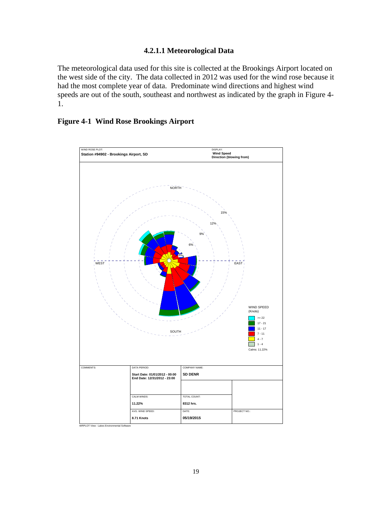### **4.2.1.1 Meteorological Data**

The meteorological data used for this site is collected at the Brookings Airport located on the west side of the city. The data collected in 2012 was used for the wind rose because it had the most complete year of data. Predominate wind directions and highest wind speeds are out of the south, southeast and northwest as indicated by the graph in Figure 4- 1.

# **Figure 4-1 Wind Rose Brookings Airport**

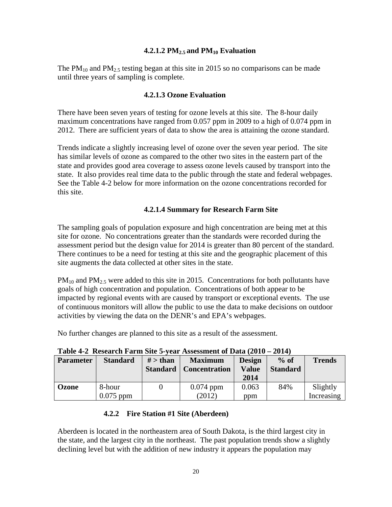#### **4.2.1.2 PM2.5 and PM10 Evaluation**

The  $PM_{10}$  and  $PM_{2.5}$  testing began at this site in 2015 so no comparisons can be made until three years of sampling is complete.

#### **4.2.1.3 Ozone Evaluation**

There have been seven years of testing for ozone levels at this site. The 8-hour daily maximum concentrations have ranged from 0.057 ppm in 2009 to a high of 0.074 ppm in 2012. There are sufficient years of data to show the area is attaining the ozone standard.

Trends indicate a slightly increasing level of ozone over the seven year period. The site has similar levels of ozone as compared to the other two sites in the eastern part of the state and provides good area coverage to assess ozone levels caused by transport into the state. It also provides real time data to the public through the state and federal webpages. See the Table 4-2 below for more information on the ozone concentrations recorded for this site.

#### **4.2.1.4 Summary for Research Farm Site**

The sampling goals of population exposure and high concentration are being met at this site for ozone. No concentrations greater than the standards were recorded during the assessment period but the design value for 2014 is greater than 80 percent of the standard. There continues to be a need for testing at this site and the geographic placement of this site augments the data collected at other sites in the state.

 $PM_{10}$  and  $PM_{2.5}$  were added to this site in 2015. Concentrations for both pollutants have goals of high concentration and population. Concentrations of both appear to be impacted by regional events with are caused by transport or exceptional events. The use of continuous monitors will allow the public to use the data to make decisions on outdoor activities by viewing the data on the DENR's and EPA's webpages.

No further changes are planned to this site as a result of the assessment.

| Table $\tau$ -2 Trestat ch I arm blie o-vear Assessment of Data (2010 – 2014) |                 |            |                                 |               |                 |               |  |
|-------------------------------------------------------------------------------|-----------------|------------|---------------------------------|---------------|-----------------|---------------|--|
| <b>Parameter</b>                                                              | <b>Standard</b> | $#$ > than | <b>Maximum</b>                  | <b>Design</b> | $%$ of          | <b>Trends</b> |  |
|                                                                               |                 |            | <b>Standard   Concentration</b> | <b>Value</b>  | <b>Standard</b> |               |  |
|                                                                               |                 |            |                                 | 2014          |                 |               |  |
| Ozone                                                                         | 8-hour          |            | $0.074$ ppm                     | 0.063         | 84%             | Slightly      |  |
|                                                                               | $0.075$ ppm     |            | (2012)                          | ppm           |                 | Increasing    |  |

**Table 4-2 Research Farm Site 5-year Assessment of Data (2010 – 2014)** 

#### **4.2.2 Fire Station #1 Site (Aberdeen)**

Aberdeen is located in the northeastern area of South Dakota, is the third largest city in the state, and the largest city in the northeast. The past population trends show a slightly declining level but with the addition of new industry it appears the population may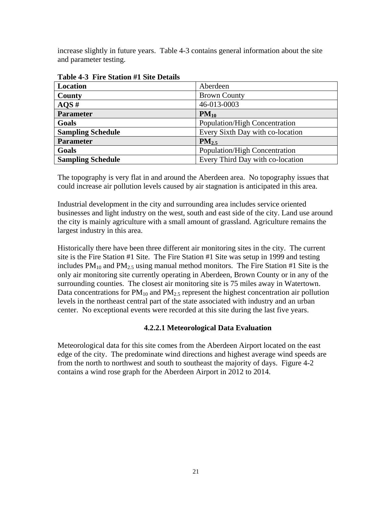increase slightly in future years. Table 4-3 contains general information about the site and parameter testing.

| Location                 | Aberdeen                         |
|--------------------------|----------------------------------|
| County                   | <b>Brown County</b>              |
| AOS#                     | 46-013-0003                      |
| <b>Parameter</b>         | $PM_{10}$                        |
| Goals                    | Population/High Concentration    |
| <b>Sampling Schedule</b> | Every Sixth Day with co-location |
| <b>Parameter</b>         | $PM_{2.5}$                       |
| Goals                    | Population/High Concentration    |
| <b>Sampling Schedule</b> | Every Third Day with co-location |

**Table 4-3 Fire Station #1 Site Details**

The topography is very flat in and around the Aberdeen area. No topography issues that could increase air pollution levels caused by air stagnation is anticipated in this area.

Industrial development in the city and surrounding area includes service oriented businesses and light industry on the west, south and east side of the city. Land use around the city is mainly agriculture with a small amount of grassland. Agriculture remains the largest industry in this area.

Historically there have been three different air monitoring sites in the city. The current site is the Fire Station #1 Site. The Fire Station #1 Site was setup in 1999 and testing includes  $PM_{10}$  and  $PM_{2.5}$  using manual method monitors. The Fire Station #1 Site is the only air monitoring site currently operating in Aberdeen, Brown County or in any of the surrounding counties. The closest air monitoring site is 75 miles away in Watertown. Data concentrations for  $PM_{10}$  and  $PM_{2.5}$  represent the highest concentration air pollution levels in the northeast central part of the state associated with industry and an urban center. No exceptional events were recorded at this site during the last five years.

#### **4.2.2.1 Meteorological Data Evaluation**

Meteorological data for this site comes from the Aberdeen Airport located on the east edge of the city. The predominate wind directions and highest average wind speeds are from the north to northwest and south to southeast the majority of days. Figure 4-2 contains a wind rose graph for the Aberdeen Airport in 2012 to 2014.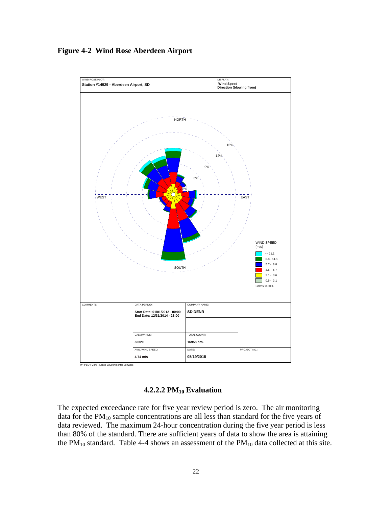### **Figure 4-2 Wind Rose Aberdeen Airport**



#### **4.2.2.2 PM10 Evaluation**

The expected exceedance rate for five year review period is zero. The air monitoring data for the  $PM_{10}$  sample concentrations are all less than standard for the five years of data reviewed. The maximum 24-hour concentration during the five year period is less than 80% of the standard. There are sufficient years of data to show the area is attaining the PM<sub>10</sub> standard. Table 4-4 shows an assessment of the PM<sub>10</sub> data collected at this site.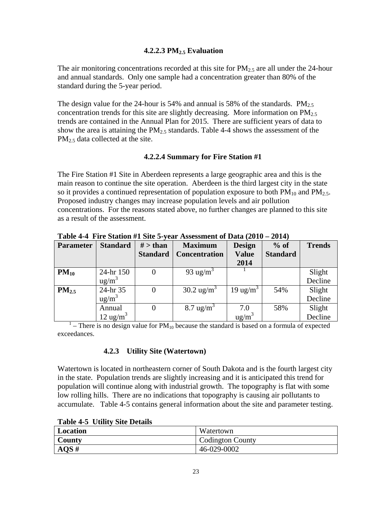#### **4.2.2.3 PM2.5 Evaluation**

The air monitoring concentrations recorded at this site for  $PM_{2.5}$  are all under the 24-hour and annual standards. Only one sample had a concentration greater than 80% of the standard during the 5-year period.

The design value for the 24-hour is 54% and annual is 58% of the standards.  $PM_{2.5}$ concentration trends for this site are slightly decreasing. More information on  $PM_{2.5}$ trends are contained in the Annual Plan for 2015. There are sufficient years of data to show the area is attaining the  $PM<sub>2.5</sub>$  standards. Table 4-4 shows the assessment of the PM<sub>2.5</sub> data collected at the site.

#### **4.2.2.4 Summary for Fire Station #1**

The Fire Station #1 Site in Aberdeen represents a large geographic area and this is the main reason to continue the site operation. Aberdeen is the third largest city in the state so it provides a continued representation of population exposure to both  $PM_{10}$  and  $PM_{2.5}$ . Proposed industry changes may increase population levels and air pollution concentrations. For the reasons stated above, no further changes are planned to this site as a result of the assessment.

| Parameter         | <b>Standard</b>      | $#$ > than      | <b>Maximum</b>        | <b>Design</b>        | $%$ of          | <b>Trends</b> |
|-------------------|----------------------|-----------------|-----------------------|----------------------|-----------------|---------------|
|                   |                      | <b>Standard</b> | <b>Concentration</b>  | <b>Value</b>         | <b>Standard</b> |               |
|                   |                      |                 |                       | 2014                 |                 |               |
| $PM_{10}$         | 24-hr 150            | $\overline{0}$  | 93 ug/m <sup>3</sup>  |                      |                 | Slight        |
|                   | $\text{ug/m}^3$      |                 |                       |                      |                 | Decline       |
| PM <sub>2.5</sub> | 24-hr 35             | $\overline{0}$  | $30.2 \text{ ug/m}^3$ | 19 ug/m <sup>3</sup> | 54%             | Slight        |
|                   | ug/m <sup>3</sup>    |                 |                       |                      |                 | Decline       |
|                   | Annual               | 0               | $8.7 \text{ ug/m}^3$  | 7.0                  | 58%             | Slight        |
|                   | 12 ug/m <sup>3</sup> |                 |                       | $ug/m^3$             |                 | Decline       |

**Table 4-4 Fire Station #1 Site 5-year Assessment of Data (2010 – 2014)**

 $1$  – There is no design value for  $PM_{10}$  because the standard is based on a formula of expected exceedances.

#### **4.2.3 Utility Site (Watertown)**

Watertown is located in northeastern corner of South Dakota and is the fourth largest city in the state. Population trends are slightly increasing and it is anticipated this trend for population will continue along with industrial growth. The topography is flat with some low rolling hills. There are no indications that topography is causing air pollutants to accumulate. Table 4-5 contains general information about the site and parameter testing.

**Table 4-5 Utility Site Details**

| <b>Location</b> | Watertown        |
|-----------------|------------------|
| County          | Codington County |
| AOS#            | 46-029-0002      |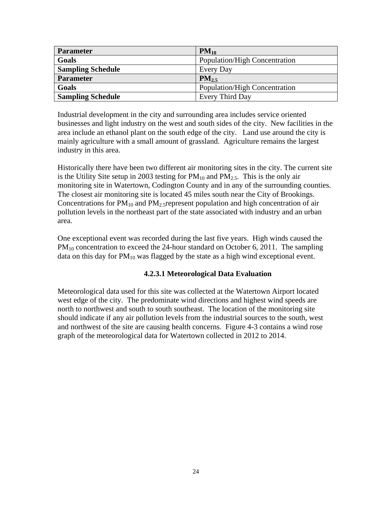| <b>Parameter</b>         | $PM_{10}$                     |
|--------------------------|-------------------------------|
| Goals                    | Population/High Concentration |
| <b>Sampling Schedule</b> | Every Day                     |
| <b>Parameter</b>         | $PM_{2.5}$                    |
| Goals                    | Population/High Concentration |
| <b>Sampling Schedule</b> | Every Third Day               |

Industrial development in the city and surrounding area includes service oriented businesses and light industry on the west and south sides of the city. New facilities in the area include an ethanol plant on the south edge of the city. Land use around the city is mainly agriculture with a small amount of grassland. Agriculture remains the largest industry in this area.

Historically there have been two different air monitoring sites in the city. The current site is the Utility Site setup in 2003 testing for  $PM_{10}$  and  $PM_{2.5}$ . This is the only air monitoring site in Watertown, Codington County and in any of the surrounding counties. The closest air monitoring site is located 45 miles south near the City of Brookings. Concentrations for  $PM_{10}$  and  $PM_{2.5}$ represent population and high concentration of air pollution levels in the northeast part of the state associated with industry and an urban area.

One exceptional event was recorded during the last five years. High winds caused the  $PM_{10}$  concentration to exceed the 24-hour standard on October 6, 2011. The sampling data on this day for  $PM_{10}$  was flagged by the state as a high wind exceptional event.

#### **4.2.3.1 Meteorological Data Evaluation**

Meteorological data used for this site was collected at the Watertown Airport located west edge of the city. The predominate wind directions and highest wind speeds are north to northwest and south to south southeast. The location of the monitoring site should indicate if any air pollution levels from the industrial sources to the south, west and northwest of the site are causing health concerns. Figure 4-3 contains a wind rose graph of the meteorological data for Watertown collected in 2012 to 2014.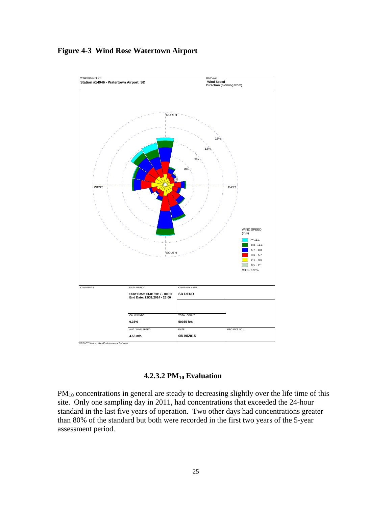# **Figure 4-3 Wind Rose Watertown Airport**



# **4.2.3.2 PM10 Evaluation**

PM<sub>10</sub> concentrations in general are steady to decreasing slightly over the life time of this site. Only one sampling day in 2011, had concentrations that exceeded the 24-hour standard in the last five years of operation. Two other days had concentrations greater than 80% of the standard but both were recorded in the first two years of the 5-year assessment period.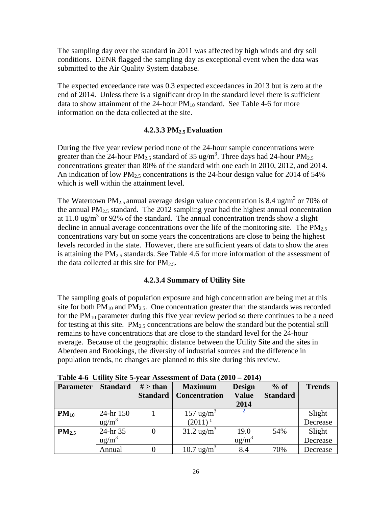The sampling day over the standard in 2011 was affected by high winds and dry soil conditions. DENR flagged the sampling day as exceptional event when the data was submitted to the Air Quality System database.

The expected exceedance rate was 0.3 expected exceedances in 2013 but is zero at the end of 2014. Unless there is a significant drop in the standard level there is sufficient data to show attainment of the  $24$ -hour  $PM_{10}$  standard. See Table 4-6 for more information on the data collected at the site.

# **4.2.3.3 PM2.5 Evaluation**

During the five year review period none of the 24-hour sample concentrations were greater than the 24-hour PM<sub>2.5</sub> standard of 35 ug/m<sup>3</sup>. Three days had 24-hour PM<sub>2.5</sub> concentrations greater than 80% of the standard with one each in 2010, 2012, and 2014. An indication of low  $PM_{2.5}$  concentrations is the 24-hour design value for 2014 of 54% which is well within the attainment level.

The Watertown PM<sub>2.5</sub> annual average design value concentration is 8.4 ug/m<sup>3</sup> or 70% of the annual  $PM<sub>2.5</sub>$  standard. The 2012 sampling year had the highest annual concentration at 11.0 ug/m<sup>3</sup> or 92% of the standard. The annual concentration trends show a slight decline in annual average concentrations over the life of the monitoring site. The  $PM_{2.5}$ concentrations vary but on some years the concentrations are close to being the highest levels recorded in the state. However, there are sufficient years of data to show the area is attaining the  $PM<sub>2.5</sub>$  standards. See Table 4.6 for more information of the assessment of the data collected at this site for  $PM_{2.5}$ .

# **4.2.3.4 Summary of Utility Site**

The sampling goals of population exposure and high concentration are being met at this site for both  $PM_{10}$  and  $PM_{2.5}$ . One concentration greater than the standards was recorded for the  $PM_{10}$  parameter during this five year review period so there continues to be a need for testing at this site.  $PM_{2.5}$  concentrations are below the standard but the potential still remains to have concentrations that are close to the standard level for the 24-hour average. Because of the geographic distance between the Utility Site and the sites in Aberdeen and Brookings, the diversity of industrial sources and the difference in population trends, no changes are planned to this site during this review.

| <b>Parameter</b>  | <b>Standard</b> | $#$ > than      | <b>Maximum</b>        | <b>Design</b>     | $%$ of          | <b>Trends</b> |
|-------------------|-----------------|-----------------|-----------------------|-------------------|-----------------|---------------|
|                   |                 | <b>Standard</b> | <b>Concentration</b>  | <b>Value</b>      | <b>Standard</b> |               |
|                   |                 |                 |                       | 2014              |                 |               |
| $PM_{10}$         | 24-hr 150       |                 | $157 \text{ ug/m}^3$  |                   |                 | Slight        |
|                   | $\text{ug/m}^3$ |                 | $(2011)^{1}$          |                   |                 | Decrease      |
| PM <sub>2.5</sub> | 24-hr 35        |                 | $31.2 \text{ ug/m}^3$ | 19.0              | 54%             | Slight        |
|                   | $\text{ug/m}^3$ |                 |                       | ug/m <sup>3</sup> |                 | Decrease      |
|                   | Annual          |                 | 10.7 $\text{ug/m}^3$  | 8.4               | 70%             | Decrease      |

**Table 4-6 Utility Site 5-year Assessment of Data (2010 – 2014)**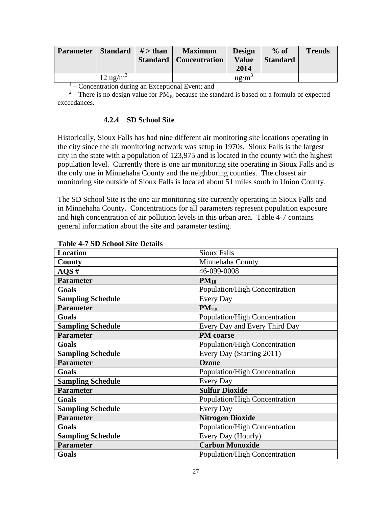| <b>Parameter</b>   Standard   $#$ > than |                     | <b>Maximum</b><br>Standard   Concentration | <b>Design</b><br><b>Value</b> | $%$ of<br><b>Standard</b> | <b>Trends</b> |
|------------------------------------------|---------------------|--------------------------------------------|-------------------------------|---------------------------|---------------|
|                                          |                     |                                            | 2014                          |                           |               |
|                                          | $12 \text{ ug/m}^3$ |                                            | $ug/m^3$                      |                           |               |

<sup>1</sup> – Concentration during an Exceptional Event; and

 $2$  – There is no design value for  $PM_{10}$  because the standard is based on a formula of expected exceedances.

### **4.2.4 SD School Site**

Historically, Sioux Falls has had nine different air monitoring site locations operating in the city since the air monitoring network was setup in 1970s. Sioux Falls is the largest city in the state with a population of 123,975 and is located in the county with the highest population level. Currently there is one air monitoring site operating in Sioux Falls and is the only one in Minnehaha County and the neighboring counties. The closest air monitoring site outside of Sioux Falls is located about 51 miles south in Union County.

The SD School Site is the one air monitoring site currently operating in Sioux Falls and in Minnehaha County. Concentrations for all parameters represent population exposure and high concentration of air pollution levels in this urban area. Table 4-7 contains general information about the site and parameter testing.

| <b>Location</b>          | <b>Sioux Falls</b>            |
|--------------------------|-------------------------------|
| County                   | Minnehaha County              |
| $AQS$ #                  | 46-099-0008                   |
| <b>Parameter</b>         | $PM_{10}$                     |
| <b>Goals</b>             | Population/High Concentration |
| <b>Sampling Schedule</b> | Every Day                     |
| <b>Parameter</b>         | $PM_{2.5}$                    |
| Goals                    | Population/High Concentration |
| <b>Sampling Schedule</b> | Every Day and Every Third Day |
| <b>Parameter</b>         | <b>PM</b> coarse              |
| Goals                    | Population/High Concentration |
| <b>Sampling Schedule</b> | Every Day (Starting 2011)     |
| <b>Parameter</b>         | <b>Ozone</b>                  |
| Goals                    | Population/High Concentration |
| <b>Sampling Schedule</b> | <b>Every Day</b>              |
| <b>Parameter</b>         | <b>Sulfur Dioxide</b>         |
| Goals                    | Population/High Concentration |
| <b>Sampling Schedule</b> | <b>Every Day</b>              |
| <b>Parameter</b>         | <b>Nitrogen Dioxide</b>       |
| Goals                    | Population/High Concentration |
| <b>Sampling Schedule</b> | Every Day (Hourly)            |
| <b>Parameter</b>         | <b>Carbon Monoxide</b>        |
| Goals                    | Population/High Concentration |

#### **Table 4-7 SD School Site Details**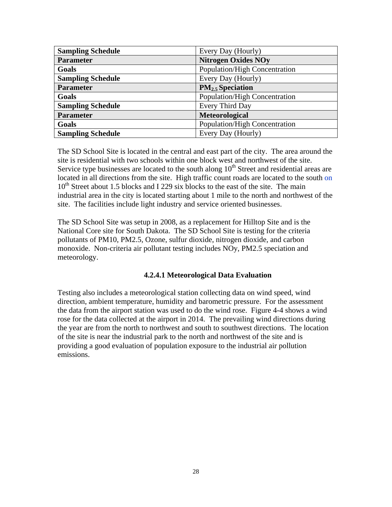| <b>Sampling Schedule</b> | Every Day (Hourly)            |
|--------------------------|-------------------------------|
| <b>Parameter</b>         | <b>Nitrogen Oxides NOy</b>    |
| Goals                    | Population/High Concentration |
| <b>Sampling Schedule</b> | Every Day (Hourly)            |
| <b>Parameter</b>         | $PM2.5$ Speciation            |
| Goals                    | Population/High Concentration |
| <b>Sampling Schedule</b> | Every Third Day               |
| <b>Parameter</b>         | Meteorological                |
| Goals                    | Population/High Concentration |
| <b>Sampling Schedule</b> | Every Day (Hourly)            |

The SD School Site is located in the central and east part of the city. The area around the site is residential with two schools within one block west and northwest of the site. Service type businesses are located to the south along  $10<sup>th</sup>$  Street and residential areas are located in all directions from the site. High traffic count roads are located to the south on  $10<sup>th</sup>$  Street about 1.5 blocks and I 229 six blocks to the east of the site. The main industrial area in the city is located starting about 1 mile to the north and northwest of the site. The facilities include light industry and service oriented businesses.

The SD School Site was setup in 2008, as a replacement for Hilltop Site and is the National Core site for South Dakota. The SD School Site is testing for the criteria pollutants of PM10, PM2.5, Ozone, sulfur dioxide, nitrogen dioxide, and carbon monoxide. Non-criteria air pollutant testing includes NOy, PM2.5 speciation and meteorology.

#### **4.2.4.1 Meteorological Data Evaluation**

Testing also includes a meteorological station collecting data on wind speed, wind direction, ambient temperature, humidity and barometric pressure. For the assessment the data from the airport station was used to do the wind rose. Figure 4-4 shows a wind rose for the data collected at the airport in 2014. The prevailing wind directions during the year are from the north to northwest and south to southwest directions. The location of the site is near the industrial park to the north and northwest of the site and is providing a good evaluation of population exposure to the industrial air pollution emissions.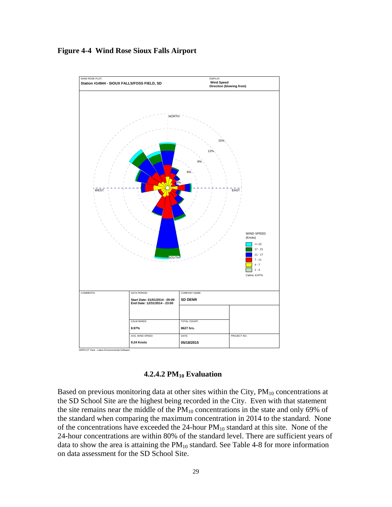#### **Figure 4-4 Wind Rose Sioux Falls Airport**



**4.2.4.2 PM10 Evaluation** 

Based on previous monitoring data at other sites within the City,  $PM_{10}$  concentrations at the SD School Site are the highest being recorded in the City. Even with that statement the site remains near the middle of the  $PM_{10}$  concentrations in the state and only 69% of the standard when comparing the maximum concentration in 2014 to the standard. None of the concentrations have exceeded the  $24$ -hour  $PM_{10}$  standard at this site. None of the 24-hour concentrations are within 80% of the standard level. There are sufficient years of data to show the area is attaining the  $PM_{10}$  standard. See Table 4-8 for more information on data assessment for the SD School Site.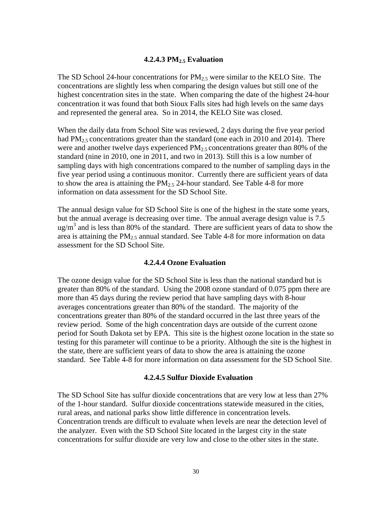#### **4.2.4.3 PM2.5 Evaluation**

The SD School 24-hour concentrations for  $PM<sub>2.5</sub>$  were similar to the KELO Site. The concentrations are slightly less when comparing the design values but still one of the highest concentration sites in the state. When comparing the date of the highest 24-hour concentration it was found that both Sioux Falls sites had high levels on the same days and represented the general area. So in 2014, the KELO Site was closed.

When the daily data from School Site was reviewed, 2 days during the five year period had  $PM_{2.5}$  concentrations greater than the standard (one each in 2010 and 2014). There were and another twelve days experienced  $PM<sub>2.5</sub>$  concentrations greater than 80% of the standard (nine in 2010, one in 2011, and two in 2013). Still this is a low number of sampling days with high concentrations compared to the number of sampling days in the five year period using a continuous monitor. Currently there are sufficient years of data to show the area is attaining the  $PM_{2.5}$  24-hour standard. See Table 4-8 for more information on data assessment for the SD School Site.

The annual design value for SD School Site is one of the highest in the state some years, but the annual average is decreasing over time. The annual average design value is 7.5 ug/m<sup>3</sup> and is less than 80% of the standard. There are sufficient years of data to show the area is attaining the  $PM_2$ , annual standard. See Table 4-8 for more information on data assessment for the SD School Site.

#### **4.2.4.4 Ozone Evaluation**

The ozone design value for the SD School Site is less than the national standard but is greater than 80% of the standard. Using the 2008 ozone standard of 0.075 ppm there are more than 45 days during the review period that have sampling days with 8-hour averages concentrations greater than 80% of the standard. The majority of the concentrations greater than 80% of the standard occurred in the last three years of the review period. Some of the high concentration days are outside of the current ozone period for South Dakota set by EPA. This site is the highest ozone location in the state so testing for this parameter will continue to be a priority. Although the site is the highest in the state, there are sufficient years of data to show the area is attaining the ozone standard. See Table 4-8 for more information on data assessment for the SD School Site.

#### **4.2.4.5 Sulfur Dioxide Evaluation**

The SD School Site has sulfur dioxide concentrations that are very low at less than 27% of the 1-hour standard. Sulfur dioxide concentrations statewide measured in the cities, rural areas, and national parks show little difference in concentration levels. Concentration trends are difficult to evaluate when levels are near the detection level of the analyzer. Even with the SD School Site located in the largest city in the state concentrations for sulfur dioxide are very low and close to the other sites in the state.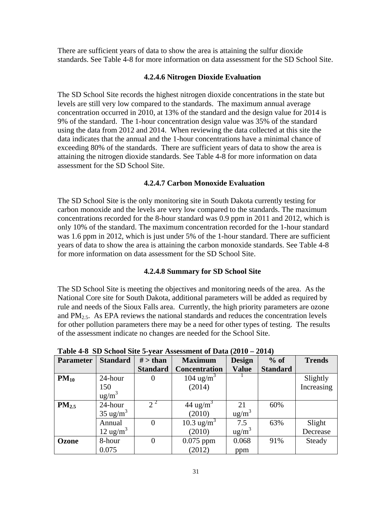There are sufficient years of data to show the area is attaining the sulfur dioxide standards. See Table 4-8 for more information on data assessment for the SD School Site.

### **4.2.4.6 Nitrogen Dioxide Evaluation**

The SD School Site records the highest nitrogen dioxide concentrations in the state but levels are still very low compared to the standards. The maximum annual average concentration occurred in 2010, at 13% of the standard and the design value for 2014 is 9% of the standard. The 1-hour concentration design value was 35% of the standard using the data from 2012 and 2014. When reviewing the data collected at this site the data indicates that the annual and the 1-hour concentrations have a minimal chance of exceeding 80% of the standards. There are sufficient years of data to show the area is attaining the nitrogen dioxide standards. See Table 4-8 for more information on data assessment for the SD School Site.

# **4.2.4.7 Carbon Monoxide Evaluation**

The SD School Site is the only monitoring site in South Dakota currently testing for carbon monoxide and the levels are very low compared to the standards. The maximum concentrations recorded for the 8-hour standard was 0.9 ppm in 2011 and 2012, which is only 10% of the standard. The maximum concentration recorded for the 1-hour standard was 1.6 ppm in 2012, which is just under 5% of the 1-hour standard. There are sufficient years of data to show the area is attaining the carbon monoxide standards. See Table 4-8 for more information on data assessment for the SD School Site.

# **4.2.4.8 Summary for SD School Site**

The SD School Site is meeting the objectives and monitoring needs of the area. As the National Core site for South Dakota, additional parameters will be added as required by rule and needs of the Sioux Falls area. Currently, the high priority parameters are ozone and  $PM<sub>2.5</sub>$ . As EPA reviews the national standards and reduces the concentration levels for other pollution parameters there may be a need for other types of testing. The results of the assessment indicate no changes are needed for the School Site.

| <b>Parameter</b>  | <b>Standard</b>     | $#$ > than      | <b>Maximum</b>         | <b>Design</b>     | $%$ of          | <b>Trends</b> |
|-------------------|---------------------|-----------------|------------------------|-------------------|-----------------|---------------|
|                   |                     | <b>Standard</b> | <b>Concentration</b>   | <b>Value</b>      | <b>Standard</b> |               |
| $PM_{10}$         | 24-hour             |                 | $104 \text{ ug/m}^3$   |                   |                 | Slightly      |
|                   | 150                 |                 | (2014)                 |                   |                 | Increasing    |
|                   | ug/m <sup>3</sup>   |                 |                        |                   |                 |               |
| PM <sub>2.5</sub> | 24-hour             | $2^{2}$         | 44 ug/m <sup>3</sup>   | 21                | 60%             |               |
|                   | $35 \text{ ug/m}^3$ |                 | (2010)                 | ug/m <sup>3</sup> |                 |               |
|                   | Annual              |                 | 10.3 ug/m <sup>3</sup> | 7.5               | 63%             | Slight        |
|                   | $12 \text{ ug/m}^3$ |                 | (2010)                 | $\text{ug/m}^3$   |                 | Decrease      |
| <b>Ozone</b>      | 8-hour              |                 | $0.075$ ppm            | 0.068             | 91%             | Steady        |
|                   | 0.075               |                 | (2012)                 | ppm               |                 |               |

**Table 4-8 SD School Site 5-year Assessment of Data (2010 – 2014)**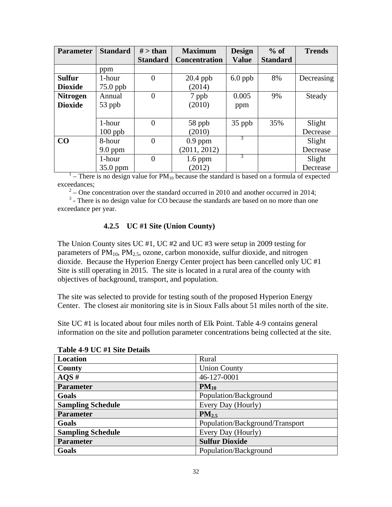| <b>Parameter</b> | <b>Standard</b> | $#$ > than      | <b>Maximum</b>       | <b>Design</b> | $%$ of          | <b>Trends</b> |
|------------------|-----------------|-----------------|----------------------|---------------|-----------------|---------------|
|                  |                 | <b>Standard</b> | <b>Concentration</b> | <b>Value</b>  | <b>Standard</b> |               |
|                  | ppm             |                 |                      |               |                 |               |
| <b>Sulfur</b>    | 1-hour          | $\overline{0}$  | $20.4$ ppb           | $6.0$ ppb     | 8%              | Decreasing    |
| <b>Dioxide</b>   | $75.0$ ppb      |                 | (2014)               |               |                 |               |
| <b>Nitrogen</b>  | Annual          | $\overline{0}$  | 7 ppb                | 0.005         | 9%              | Steady        |
| <b>Dioxide</b>   | 53 ppb          |                 | (2010)               | ppm           |                 |               |
|                  |                 |                 |                      |               |                 |               |
|                  | 1-hour          | $\overline{0}$  | 58 ppb               | $35$ ppb      | 35%             | Slight        |
|                  | $100$ ppb       |                 | (2010)               |               |                 | Decrease      |
| CO               | 8-hour          | $\overline{0}$  | $0.9$ ppm            | 3             |                 | Slight        |
|                  | $9.0$ ppm       |                 | (2011, 2012)         |               |                 | Decrease      |
|                  | 1-hour          | $\overline{0}$  | $1.6$ ppm            | 3             |                 | Slight        |
|                  | 35.0 ppm        |                 | (2012)               |               |                 | Decrease      |

 $1$  – There is no design value for  $PM_{10}$  because the standard is based on a formula of expected exceedances;

 $2^2$  – One concentration over the standard occurred in 2010 and another occurred in 2014;

 $3$  - There is no design value for CO because the standards are based on no more than one exceedance per year.

### **4.2.5 UC #1 Site (Union County)**

The Union County sites UC #1, UC #2 and UC #3 were setup in 2009 testing for parameters of  $PM_{10}$ ,  $PM_{2.5}$ , ozone, carbon monoxide, sulfur dioxide, and nitrogen dioxide. Because the Hyperion Energy Center project has been cancelled only UC #1 Site is still operating in 2015. The site is located in a rural area of the county with objectives of background, transport, and population.

The site was selected to provide for testing south of the proposed Hyperion Energy Center. The closest air monitoring site is in Sioux Falls about 51 miles north of the site.

Site UC #1 is located about four miles north of Elk Point. Table 4-9 contains general information on the site and pollution parameter concentrations being collected at the site.

| <b>Location</b>          | Rural                           |
|--------------------------|---------------------------------|
| County                   | <b>Union County</b>             |
| AOS#                     | 46-127-0001                     |
| <b>Parameter</b>         | $PM_{10}$                       |
| Goals                    | Population/Background           |
| <b>Sampling Schedule</b> | Every Day (Hourly)              |
| <b>Parameter</b>         | $PM_{2.5}$                      |
| Goals                    | Population/Background/Transport |
| <b>Sampling Schedule</b> | Every Day (Hourly)              |
| <b>Parameter</b>         | <b>Sulfur Dioxide</b>           |
| Goals                    | Population/Background           |

**Table 4-9 UC #1 Site Details**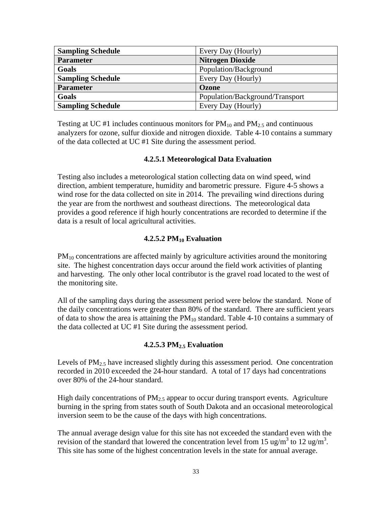| <b>Sampling Schedule</b> | Every Day (Hourly)              |
|--------------------------|---------------------------------|
| <b>Parameter</b>         | <b>Nitrogen Dioxide</b>         |
| Goals                    | Population/Background           |
| <b>Sampling Schedule</b> | Every Day (Hourly)              |
| <b>Parameter</b>         | Ozone                           |
| Goals                    | Population/Background/Transport |
| <b>Sampling Schedule</b> | Every Day (Hourly)              |

Testing at UC #1 includes continuous monitors for  $PM_{10}$  and  $PM_{2.5}$  and continuous analyzers for ozone, sulfur dioxide and nitrogen dioxide. Table 4-10 contains a summary of the data collected at UC #1 Site during the assessment period.

#### **4.2.5.1 Meteorological Data Evaluation**

Testing also includes a meteorological station collecting data on wind speed, wind direction, ambient temperature, humidity and barometric pressure. Figure 4-5 shows a wind rose for the data collected on site in 2014. The prevailing wind directions during the year are from the northwest and southeast directions. The meteorological data provides a good reference if high hourly concentrations are recorded to determine if the data is a result of local agricultural activities.

#### **4.2.5.2 PM10 Evaluation**

 $PM_{10}$  concentrations are affected mainly by agriculture activities around the monitoring site. The highest concentration days occur around the field work activities of planting and harvesting. The only other local contributor is the gravel road located to the west of the monitoring site.

All of the sampling days during the assessment period were below the standard. None of the daily concentrations were greater than 80% of the standard. There are sufficient years of data to show the area is attaining the  $PM_{10}$  standard. Table 4-10 contains a summary of the data collected at UC #1 Site during the assessment period.

#### **4.2.5.3 PM2.5 Evaluation**

Levels of  $PM<sub>2.5</sub>$  have increased slightly during this assessment period. One concentration recorded in 2010 exceeded the 24-hour standard. A total of 17 days had concentrations over 80% of the 24-hour standard.

High daily concentrations of  $PM_{2.5}$  appear to occur during transport events. Agriculture burning in the spring from states south of South Dakota and an occasional meteorological inversion seem to be the cause of the days with high concentrations.

The annual average design value for this site has not exceeded the standard even with the revision of the standard that lowered the concentration level from 15 ug/m<sup>3</sup> to 12 ug/m<sup>3</sup>. This site has some of the highest concentration levels in the state for annual average.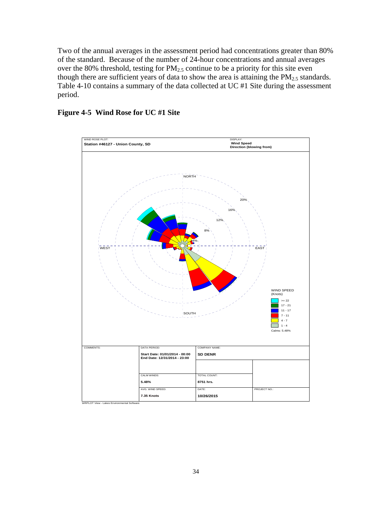Two of the annual averages in the assessment period had concentrations greater than 80% of the standard. Because of the number of 24-hour concentrations and annual averages over the 80% threshold, testing for  $PM_{2.5}$  continue to be a priority for this site even though there are sufficient years of data to show the area is attaining the  $PM_{2.5}$  standards. Table 4-10 contains a summary of the data collected at UC #1 Site during the assessment period.

# **Figure 4-5 Wind Rose for UC #1 Site**



WRPLOT View - Lakes En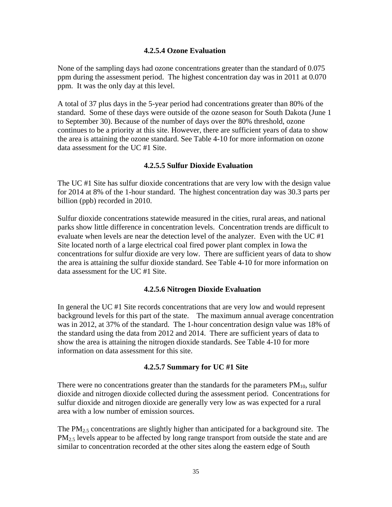#### **4.2.5.4 Ozone Evaluation**

None of the sampling days had ozone concentrations greater than the standard of 0.075 ppm during the assessment period. The highest concentration day was in 2011 at 0.070 ppm. It was the only day at this level.

A total of 37 plus days in the 5-year period had concentrations greater than 80% of the standard. Some of these days were outside of the ozone season for South Dakota (June 1 to September 30). Because of the number of days over the 80% threshold, ozone continues to be a priority at this site. However, there are sufficient years of data to show the area is attaining the ozone standard. See Table 4-10 for more information on ozone data assessment for the UC #1 Site.

#### **4.2.5.5 Sulfur Dioxide Evaluation**

The UC #1 Site has sulfur dioxide concentrations that are very low with the design value for 2014 at 8% of the 1-hour standard. The highest concentration day was 30.3 parts per billion (ppb) recorded in 2010.

Sulfur dioxide concentrations statewide measured in the cities, rural areas, and national parks show little difference in concentration levels. Concentration trends are difficult to evaluate when levels are near the detection level of the analyzer. Even with the UC  $#1$ Site located north of a large electrical coal fired power plant complex in Iowa the concentrations for sulfur dioxide are very low. There are sufficient years of data to show the area is attaining the sulfur dioxide standard. See Table 4-10 for more information on data assessment for the UC #1 Site.

#### **4.2.5.6 Nitrogen Dioxide Evaluation**

In general the UC #1 Site records concentrations that are very low and would represent background levels for this part of the state. The maximum annual average concentration was in 2012, at 37% of the standard. The 1-hour concentration design value was 18% of the standard using the data from 2012 and 2014. There are sufficient years of data to show the area is attaining the nitrogen dioxide standards. See Table 4-10 for more information on data assessment for this site.

#### **4.2.5.7 Summary for UC #1 Site**

There were no concentrations greater than the standards for the parameters  $PM_{10}$ , sulfur dioxide and nitrogen dioxide collected during the assessment period. Concentrations for sulfur dioxide and nitrogen dioxide are generally very low as was expected for a rural area with a low number of emission sources.

The  $PM<sub>2.5</sub>$  concentrations are slightly higher than anticipated for a background site. The  $PM<sub>2.5</sub>$  levels appear to be affected by long range transport from outside the state and are similar to concentration recorded at the other sites along the eastern edge of South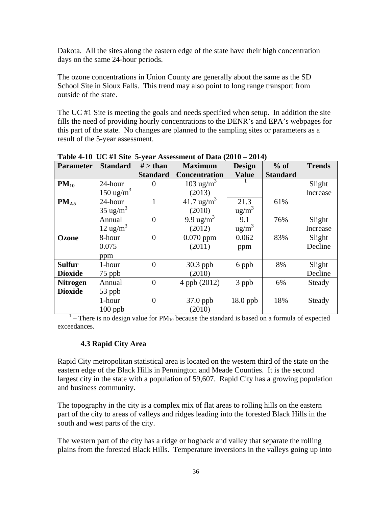Dakota. All the sites along the eastern edge of the state have their high concentration days on the same 24-hour periods.

The ozone concentrations in Union County are generally about the same as the SD School Site in Sioux Falls. This trend may also point to long range transport from outside of the state.

The UC #1 Site is meeting the goals and needs specified when setup. In addition the site fills the need of providing hourly concentrations to the DENR's and EPA's webpages for this part of the state. No changes are planned to the sampling sites or parameters as a result of the 5-year assessment.

| <b>Parameter</b>  | <b>Standard</b>                | $#$ > than      | <b>Maximum</b>         | <b>Design</b>     | % of            | <b>Trends</b> |
|-------------------|--------------------------------|-----------------|------------------------|-------------------|-----------------|---------------|
|                   |                                | <b>Standard</b> | <b>Concentration</b>   | <b>Value</b>      | <b>Standard</b> |               |
| $PM_{10}$         | 24-hour                        | 0               | 103 ug/m <sup>3</sup>  |                   |                 | Slight        |
|                   | $\frac{150 \text{ ug/m}^3}{2}$ |                 | (2013)                 |                   |                 | Increase      |
| PM <sub>2.5</sub> | 24-hour                        | 1               | 41.7 ug/m <sup>3</sup> | 21.3              | 61%             |               |
|                   | $35 \text{ ug/m}^3$            |                 | (2010)                 | ug/m <sup>3</sup> |                 |               |
|                   | Annual                         | $\overline{0}$  | 9.9 ug/m <sup>3</sup>  | 9.1               | 76%             | Slight        |
|                   | $12 \text{ ug/m}^3$            |                 | (2012)                 | $\text{ug/m}^3$   |                 | Increase      |
| Ozone             | 8-hour                         | $\overline{0}$  | $0.070$ ppm            | 0.062             | 83%             | Slight        |
|                   | 0.075                          |                 | (2011)                 | ppm               |                 | Decline       |
|                   | ppm                            |                 |                        |                   |                 |               |
| <b>Sulfur</b>     | 1-hour                         | $\overline{0}$  | $30.3$ ppb             | 6 ppb             | 8%              | Slight        |
| <b>Dioxide</b>    | 75 ppb                         |                 | (2010)                 |                   |                 | Decline       |
| <b>Nitrogen</b>   | Annual                         | $\overline{0}$  | 4 ppb (2012)           | 3 ppb             | 6%              | Steady        |
| <b>Dioxide</b>    | 53 ppb                         |                 |                        |                   |                 |               |
|                   | 1-hour                         | $\overline{0}$  | 37.0 ppb               | 18.0 ppb          | 18%             | Steady        |
|                   | $100$ ppb                      |                 | (2010)                 |                   |                 |               |

**Table 4-10 UC #1 Site 5-year Assessment of Data (2010 – 2014)**

 $1$  – There is no design value for  $PM_{10}$  because the standard is based on a formula of expected exceedances.

#### **4.3 Rapid City Area**

Rapid City metropolitan statistical area is located on the western third of the state on the eastern edge of the Black Hills in Pennington and Meade Counties. It is the second largest city in the state with a population of 59,607. Rapid City has a growing population and business community.

The topography in the city is a complex mix of flat areas to rolling hills on the eastern part of the city to areas of valleys and ridges leading into the forested Black Hills in the south and west parts of the city.

The western part of the city has a ridge or hogback and valley that separate the rolling plains from the forested Black Hills. Temperature inversions in the valleys going up into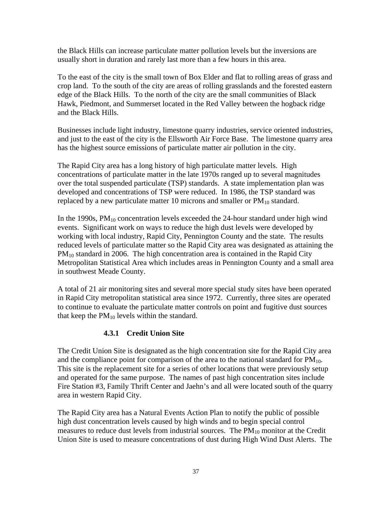the Black Hills can increase particulate matter pollution levels but the inversions are usually short in duration and rarely last more than a few hours in this area.

To the east of the city is the small town of Box Elder and flat to rolling areas of grass and crop land. To the south of the city are areas of rolling grasslands and the forested eastern edge of the Black Hills. To the north of the city are the small communities of Black Hawk, Piedmont, and Summerset located in the Red Valley between the hogback ridge and the Black Hills.

Businesses include light industry, limestone quarry industries, service oriented industries, and just to the east of the city is the Ellsworth Air Force Base. The limestone quarry area has the highest source emissions of particulate matter air pollution in the city.

The Rapid City area has a long history of high particulate matter levels. High concentrations of particulate matter in the late 1970s ranged up to several magnitudes over the total suspended particulate (TSP) standards. A state implementation plan was developed and concentrations of TSP were reduced. In 1986, the TSP standard was replaced by a new particulate matter 10 microns and smaller or  $PM_{10}$  standard.

In the 1990s,  $PM_{10}$  concentration levels exceeded the 24-hour standard under high wind events. Significant work on ways to reduce the high dust levels were developed by working with local industry, Rapid City, Pennington County and the state. The results reduced levels of particulate matter so the Rapid City area was designated as attaining the  $PM_{10}$  standard in 2006. The high concentration area is contained in the Rapid City Metropolitan Statistical Area which includes areas in Pennington County and a small area in southwest Meade County.

A total of 21 air monitoring sites and several more special study sites have been operated in Rapid City metropolitan statistical area since 1972. Currently, three sites are operated to continue to evaluate the particulate matter controls on point and fugitive dust sources that keep the  $PM_{10}$  levels within the standard.

# **4.3.1 Credit Union Site**

The Credit Union Site is designated as the high concentration site for the Rapid City area and the compliance point for comparison of the area to the national standard for  $PM_{10}$ . This site is the replacement site for a series of other locations that were previously setup and operated for the same purpose. The names of past high concentration sites include Fire Station #3, Family Thrift Center and Jaehn's and all were located south of the quarry area in western Rapid City.

The Rapid City area has a Natural Events Action Plan to notify the public of possible high dust concentration levels caused by high winds and to begin special control measures to reduce dust levels from industrial sources. The  $PM_{10}$  monitor at the Credit Union Site is used to measure concentrations of dust during High Wind Dust Alerts. The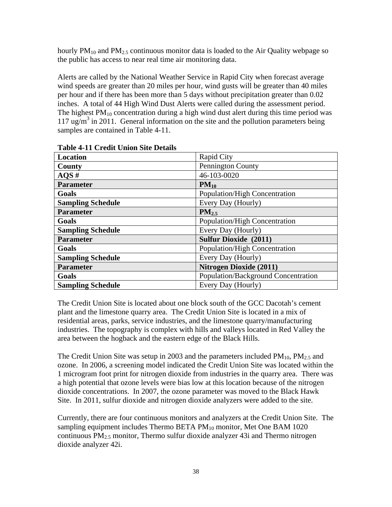hourly  $PM_{10}$  and  $PM_{2.5}$  continuous monitor data is loaded to the Air Quality webpage so the public has access to near real time air monitoring data.

Alerts are called by the National Weather Service in Rapid City when forecast average wind speeds are greater than 20 miles per hour, wind gusts will be greater than 40 miles per hour and if there has been more than 5 days without precipitation greater than 0.02 inches. A total of 44 High Wind Dust Alerts were called during the assessment period. The highest  $PM_{10}$  concentration during a high wind dust alert during this time period was  $117$  ug/m<sup>3</sup> in 2011. General information on the site and the pollution parameters being samples are contained in Table 4-11.

| Location                 | Rapid City                          |
|--------------------------|-------------------------------------|
| County                   | Pennington County                   |
| $AQS$ #                  | 46-103-0020                         |
| <b>Parameter</b>         | $PM_{10}$                           |
| Goals                    | Population/High Concentration       |
| <b>Sampling Schedule</b> | Every Day (Hourly)                  |
| <b>Parameter</b>         | $PM_{2.5}$                          |
| Goals                    | Population/High Concentration       |
| <b>Sampling Schedule</b> | Every Day (Hourly)                  |
| <b>Parameter</b>         | <b>Sulfur Dioxide</b> (2011)        |
| Goals                    | Population/High Concentration       |
| <b>Sampling Schedule</b> | Every Day (Hourly)                  |
| <b>Parameter</b>         | <b>Nitrogen Dioxide (2011)</b>      |
| Goals                    | Population/Background Concentration |
| <b>Sampling Schedule</b> | Every Day (Hourly)                  |

**Table 4-11 Credit Union Site Details**

The Credit Union Site is located about one block south of the GCC Dacotah's cement plant and the limestone quarry area. The Credit Union Site is located in a mix of residential areas, parks, service industries, and the limestone quarry/manufacturing industries. The topography is complex with hills and valleys located in Red Valley the area between the hogback and the eastern edge of the Black Hills.

The Credit Union Site was setup in 2003 and the parameters included  $PM_{10}$ ,  $PM_{2.5}$  and ozone. In 2006, a screening model indicated the Credit Union Site was located within the 1 microgram foot print for nitrogen dioxide from industries in the quarry area. There was a high potential that ozone levels were bias low at this location because of the nitrogen dioxide concentrations. In 2007, the ozone parameter was moved to the Black Hawk Site. In 2011, sulfur dioxide and nitrogen dioxide analyzers were added to the site.

Currently, there are four continuous monitors and analyzers at the Credit Union Site. The sampling equipment includes Thermo BETA  $PM_{10}$  monitor, Met One BAM 1020 continuous  $PM_{2.5}$  monitor, Thermo sulfur dioxide analyzer 43i and Thermo nitrogen dioxide analyzer 42i.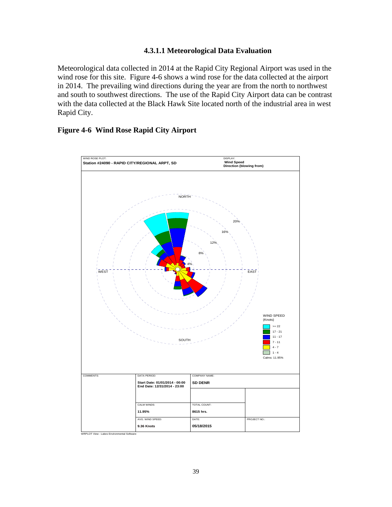#### **4.3.1.1 Meteorological Data Evaluation**

Meteorological data collected in 2014 at the Rapid City Regional Airport was used in the wind rose for this site. Figure 4-6 shows a wind rose for the data collected at the airport in 2014. The prevailing wind directions during the year are from the north to northwest and south to southwest directions. The use of the Rapid City Airport data can be contrast with the data collected at the Black Hawk Site located north of the industrial area in west Rapid City.

# **Figure 4-6 Wind Rose Rapid City Airport**



<sup>39</sup>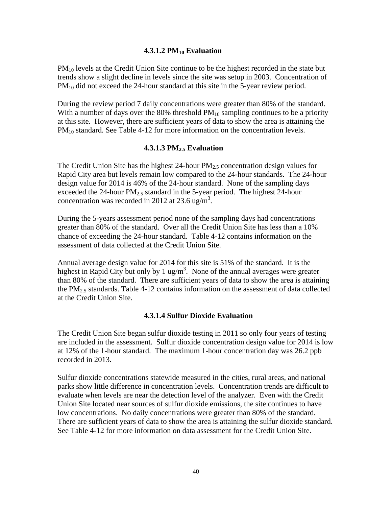#### **4.3.1.2 PM10 Evaluation**

 $PM_{10}$  levels at the Credit Union Site continue to be the highest recorded in the state but trends show a slight decline in levels since the site was setup in 2003. Concentration of  $PM_{10}$  did not exceed the 24-hour standard at this site in the 5-year review period.

During the review period 7 daily concentrations were greater than 80% of the standard. With a number of days over the 80% threshold  $PM_{10}$  sampling continues to be a priority at this site. However, there are sufficient years of data to show the area is attaining the  $PM_{10}$  standard. See Table 4-12 for more information on the concentration levels.

#### **4.3.1.3 PM2.5 Evaluation**

The Credit Union Site has the highest  $24$ -hour  $PM_{2,5}$  concentration design values for Rapid City area but levels remain low compared to the 24-hour standards. The 24-hour design value for 2014 is 46% of the 24-hour standard. None of the sampling days exceeded the 24-hour  $PM<sub>2.5</sub>$  standard in the 5-year period. The highest 24-hour concentration was recorded in 2012 at 23.6 ug/m<sup>3</sup>.

During the 5-years assessment period none of the sampling days had concentrations greater than 80% of the standard. Over all the Credit Union Site has less than a 10% chance of exceeding the 24-hour standard. Table 4-12 contains information on the assessment of data collected at the Credit Union Site.

Annual average design value for 2014 for this site is 51% of the standard. It is the highest in Rapid City but only by 1 ug/m<sup>3</sup>. None of the annual averages were greater than 80% of the standard. There are sufficient years of data to show the area is attaining the PM<sub>2.5</sub> standards. Table 4-12 contains information on the assessment of data collected at the Credit Union Site.

#### **4.3.1.4 Sulfur Dioxide Evaluation**

The Credit Union Site began sulfur dioxide testing in 2011 so only four years of testing are included in the assessment. Sulfur dioxide concentration design value for 2014 is low at 12% of the 1-hour standard. The maximum 1-hour concentration day was 26.2 ppb recorded in 2013.

Sulfur dioxide concentrations statewide measured in the cities, rural areas, and national parks show little difference in concentration levels. Concentration trends are difficult to evaluate when levels are near the detection level of the analyzer. Even with the Credit Union Site located near sources of sulfur dioxide emissions, the site continues to have low concentrations. No daily concentrations were greater than 80% of the standard. There are sufficient years of data to show the area is attaining the sulfur dioxide standard. See Table 4-12 for more information on data assessment for the Credit Union Site.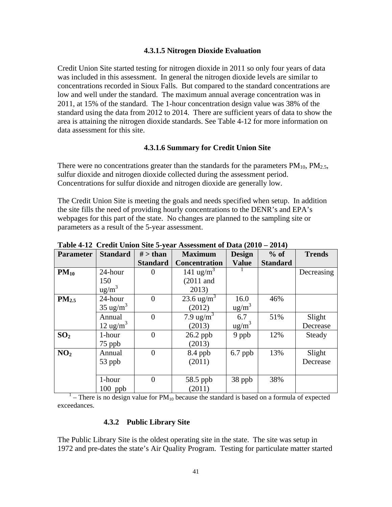#### **4.3.1.5 Nitrogen Dioxide Evaluation**

Credit Union Site started testing for nitrogen dioxide in 2011 so only four years of data was included in this assessment. In general the nitrogen dioxide levels are similar to concentrations recorded in Sioux Falls. But compared to the standard concentrations are low and well under the standard. The maximum annual average concentration was in 2011, at 15% of the standard. The 1-hour concentration design value was 38% of the standard using the data from 2012 to 2014. There are sufficient years of data to show the area is attaining the nitrogen dioxide standards. See Table 4-12 for more information on data assessment for this site.

#### **4.3.1.6 Summary for Credit Union Site**

There were no concentrations greater than the standards for the parameters  $PM_{10}$ ,  $PM_{2.5}$ , sulfur dioxide and nitrogen dioxide collected during the assessment period. Concentrations for sulfur dioxide and nitrogen dioxide are generally low.

The Credit Union Site is meeting the goals and needs specified when setup. In addition the site fills the need of providing hourly concentrations to the DENR's and EPA's webpages for this part of the state. No changes are planned to the sampling site or parameters as a result of the 5-year assessment.

| <b>Parameter</b>  | <b>Standard</b>     | $#$ > than      | <b>Maximum</b>        | <b>Design</b>    | $%$ of          | <b>Trends</b> |
|-------------------|---------------------|-----------------|-----------------------|------------------|-----------------|---------------|
|                   |                     | <b>Standard</b> | <b>Concentration</b>  | <b>Value</b>     | <b>Standard</b> |               |
| $PM_{10}$         | 24-hour             | $\theta$        | 141 ug/m <sup>3</sup> |                  |                 | Decreasing    |
|                   | 150                 |                 | $(2011$ and           |                  |                 |               |
|                   | $\text{ug/m}^3$     |                 | 2013)                 |                  |                 |               |
| PM <sub>2.5</sub> | 24-hour             | $\overline{0}$  | 23.6 $\text{ug/m}^3$  | 16.0             | 46%             |               |
|                   | $35 \text{ ug/m}^3$ |                 | (2012)                | $\text{ug/m}^3$  |                 |               |
|                   | Annual              | $\overline{0}$  | 7.9 ug/m <sup>3</sup> | 6.7              | 51%             | Slight        |
|                   | $12 \text{ ug/m}^3$ |                 | (2013)                | $\frac{ug}{m^3}$ |                 | Decrease      |
| SO <sub>2</sub>   | 1-hour              | $\overline{0}$  | $26.2$ ppb            | 9 ppb            | 12%             | Steady        |
|                   | 75 ppb              |                 | (2013)                |                  |                 |               |
| NO <sub>2</sub>   | Annual              | $\overline{0}$  | 8.4 ppb               | $6.7$ ppb        | 13%             | Slight        |
|                   | 53 ppb              |                 | (2011)                |                  |                 | Decrease      |
|                   |                     |                 |                       |                  |                 |               |
|                   | 1-hour              | $\theta$        | 58.5 ppb              | 38 ppb           | 38%             |               |
|                   | $100$ ppb           |                 | (2011)                |                  |                 |               |

**Table 4-12 Credit Union Site 5-year Assessment of Data (2010 – 2014)**

 $1$  – There is no design value for  $PM_{10}$  because the standard is based on a formula of expected exceedances.

#### **4.3.2 Public Library Site**

The Public Library Site is the oldest operating site in the state. The site was setup in 1972 and pre-dates the state's Air Quality Program. Testing for particulate matter started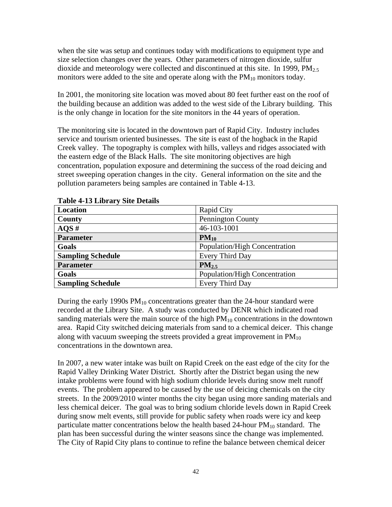when the site was setup and continues today with modifications to equipment type and size selection changes over the years. Other parameters of nitrogen dioxide, sulfur dioxide and meteorology were collected and discontinued at this site. In 1999,  $PM_{2.5}$ monitors were added to the site and operate along with the  $PM_{10}$  monitors today.

In 2001, the monitoring site location was moved about 80 feet further east on the roof of the building because an addition was added to the west side of the Library building. This is the only change in location for the site monitors in the 44 years of operation.

The monitoring site is located in the downtown part of Rapid City. Industry includes service and tourism oriented businesses. The site is east of the hogback in the Rapid Creek valley. The topography is complex with hills, valleys and ridges associated with the eastern edge of the Black Halls. The site monitoring objectives are high concentration, population exposure and determining the success of the road deicing and street sweeping operation changes in the city. General information on the site and the pollution parameters being samples are contained in Table 4-13.

| Location                 | <b>Rapid City</b>             |
|--------------------------|-------------------------------|
| County                   | <b>Pennington County</b>      |
| $AQS$ #                  | 46-103-1001                   |
| <b>Parameter</b>         | $PM_{10}$                     |
| Goals                    | Population/High Concentration |
| <b>Sampling Schedule</b> | Every Third Day               |
| <b>Parameter</b>         | $PM_{2.5}$                    |
| Goals                    | Population/High Concentration |
| <b>Sampling Schedule</b> | Every Third Day               |

**Table 4-13 Library Site Details**

During the early 1990s  $PM_{10}$  concentrations greater than the 24-hour standard were recorded at the Library Site. A study was conducted by DENR which indicated road sanding materials were the main source of the high  $PM_{10}$  concentrations in the downtown area. Rapid City switched deicing materials from sand to a chemical deicer. This change along with vacuum sweeping the streets provided a great improvement in  $PM_{10}$ concentrations in the downtown area.

In 2007, a new water intake was built on Rapid Creek on the east edge of the city for the Rapid Valley Drinking Water District. Shortly after the District began using the new intake problems were found with high sodium chloride levels during snow melt runoff events. The problem appeared to be caused by the use of deicing chemicals on the city streets. In the 2009/2010 winter months the city began using more sanding materials and less chemical deicer. The goal was to bring sodium chloride levels down in Rapid Creek during snow melt events, still provide for public safety when roads were icy and keep particulate matter concentrations below the health based  $24$ -hour  $PM_{10}$  standard. The plan has been successful during the winter seasons since the change was implemented. The City of Rapid City plans to continue to refine the balance between chemical deicer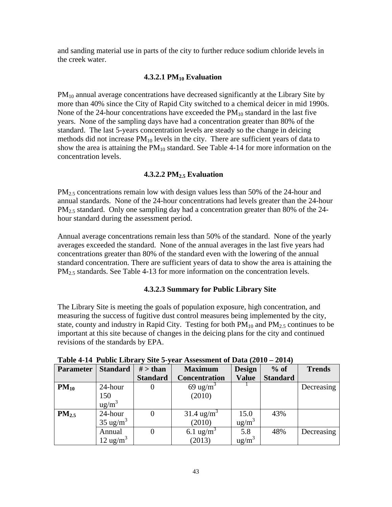and sanding material use in parts of the city to further reduce sodium chloride levels in the creek water.

# **4.3.2.1 PM10 Evaluation**

PM<sub>10</sub> annual average concentrations have decreased significantly at the Library Site by more than 40% since the City of Rapid City switched to a chemical deicer in mid 1990s. None of the 24-hour concentrations have exceeded the  $PM_{10}$  standard in the last five years. None of the sampling days have had a concentration greater than 80% of the standard. The last 5-years concentration levels are steady so the change in deicing methods did not increase  $PM_{10}$  levels in the city. There are sufficient years of data to show the area is attaining the  $PM_{10}$  standard. See Table 4-14 for more information on the concentration levels.

# **4.3.2.2 PM2.5 Evaluation**

PM<sub>2.5</sub> concentrations remain low with design values less than 50% of the 24-hour and annual standards. None of the 24-hour concentrations had levels greater than the 24-hour  $PM<sub>2.5</sub>$  standard. Only one sampling day had a concentration greater than 80% of the 24hour standard during the assessment period.

Annual average concentrations remain less than 50% of the standard. None of the yearly averages exceeded the standard. None of the annual averages in the last five years had concentrations greater than 80% of the standard even with the lowering of the annual standard concentration. There are sufficient years of data to show the area is attaining the PM<sub>2.5</sub> standards. See Table 4-13 for more information on the concentration levels.

# **4.3.2.3 Summary for Public Library Site**

The Library Site is meeting the goals of population exposure, high concentration, and measuring the success of fugitive dust control measures being implemented by the city, state, county and industry in Rapid City. Testing for both  $PM_{10}$  and  $PM_{2.5}$  continues to be important at this site because of changes in the deicing plans for the city and continued revisions of the standards by EPA.

| <b>Parameter</b> | <b>Standard</b>     | $#$ > than      | <b>Maximum</b>        | <b>Design</b>   | $%$ of          | <b>Trends</b> |
|------------------|---------------------|-----------------|-----------------------|-----------------|-----------------|---------------|
|                  |                     | <b>Standard</b> | <b>Concentration</b>  | <b>Value</b>    | <b>Standard</b> |               |
| $PM_{10}$        | 24-hour             |                 | 69 ug/m <sup>3</sup>  |                 |                 | Decreasing    |
|                  | 150                 |                 | (2010)                |                 |                 |               |
|                  | $\text{ug/m}^3$     |                 |                       |                 |                 |               |
| $PM_{2.5}$       | 24-hour             |                 | 31.4 $\text{ug/m}^3$  | 15.0            | 43%             |               |
|                  | $35 \text{ ug/m}^3$ |                 | (2010)                | $\text{ug/m}^3$ |                 |               |
|                  | Annual              |                 | 6.1 ug/m <sup>3</sup> | 5.8             | 48%             | Decreasing    |
|                  | $12 \text{ ug/m}^3$ |                 | (2013)                | $\text{ug/m}^3$ |                 |               |

**Table 4-14 Public Library Site 5-year Assessment of Data (2010 – 2014)**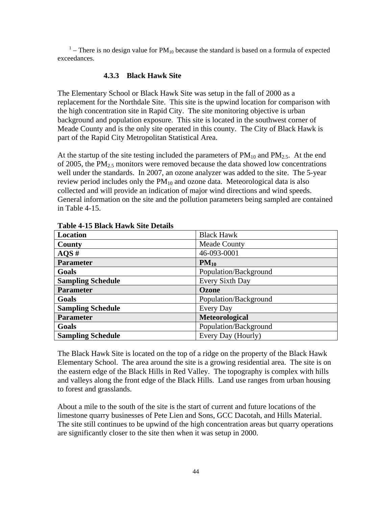$1$  – There is no design value for PM<sub>10</sub> because the standard is based on a formula of expected exceedances.

# **4.3.3 Black Hawk Site**

The Elementary School or Black Hawk Site was setup in the fall of 2000 as a replacement for the Northdale Site. This site is the upwind location for comparison with the high concentration site in Rapid City. The site monitoring objective is urban background and population exposure. This site is located in the southwest corner of Meade County and is the only site operated in this county. The City of Black Hawk is part of the Rapid City Metropolitan Statistical Area.

At the startup of the site testing included the parameters of  $PM_{10}$  and  $PM_{2.5}$ . At the end of 2005, the  $PM_{2.5}$  monitors were removed because the data showed low concentrations well under the standards. In 2007, an ozone analyzer was added to the site. The 5-year review period includes only the  $PM_{10}$  and ozone data. Meteorological data is also collected and will provide an indication of major wind directions and wind speeds. General information on the site and the pollution parameters being sampled are contained in Table 4-15.

| <b>Location</b>          | <b>Black Hawk</b>     |
|--------------------------|-----------------------|
| County                   | Meade County          |
| AOS#                     | 46-093-0001           |
| <b>Parameter</b>         | $PM_{10}$             |
| Goals                    | Population/Background |
| <b>Sampling Schedule</b> | Every Sixth Day       |
| <b>Parameter</b>         | Ozone                 |
| Goals                    | Population/Background |
| <b>Sampling Schedule</b> | Every Day             |
|                          |                       |
| <b>Parameter</b>         | Meteorological        |
| Goals                    | Population/Background |

**Table 4-15 Black Hawk Site Details**

The Black Hawk Site is located on the top of a ridge on the property of the Black Hawk Elementary School. The area around the site is a growing residential area. The site is on the eastern edge of the Black Hills in Red Valley. The topography is complex with hills and valleys along the front edge of the Black Hills. Land use ranges from urban housing to forest and grasslands.

About a mile to the south of the site is the start of current and future locations of the limestone quarry businesses of Pete Lien and Sons, GCC Dacotah, and Hills Material. The site still continues to be upwind of the high concentration areas but quarry operations are significantly closer to the site then when it was setup in 2000.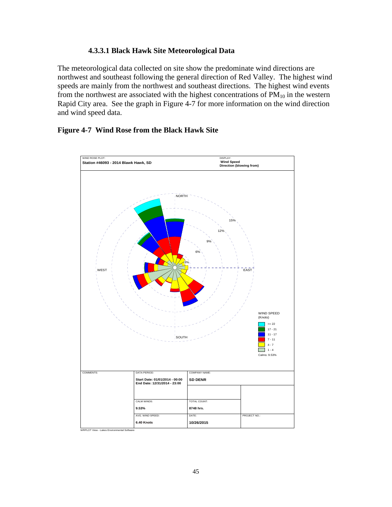#### **4.3.3.1 Black Hawk Site Meteorological Data**

The meteorological data collected on site show the predominate wind directions are northwest and southeast following the general direction of Red Valley. The highest wind speeds are mainly from the northwest and southeast directions. The highest wind events from the northwest are associated with the highest concentrations of  $PM_{10}$  in the western Rapid City area. See the graph in Figure 4-7 for more information on the wind direction and wind speed data.

# **Figure 4-7 Wind Rose from the Black Hawk Site**

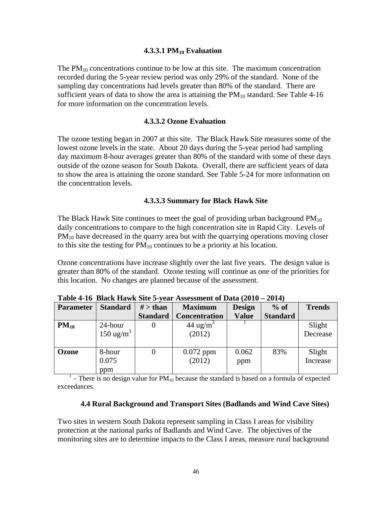#### **4.3.3.1 PM10 Evaluation**

The  $PM_{10}$  concentrations continue to be low at this site. The maximum concentration recorded during the 5-year review period was only 29% of the standard. None of the sampling day concentrations had levels greater than 80% of the standard. There are sufficient years of data to show the area is attaining the  $PM_{10}$  standard. See Table 4-16 for more information on the concentration levels.

#### **4.3.3.2 Ozone Evaluation**

The ozone testing began in 2007 at this site. The Black Hawk Site measures some of the lowest ozone levels in the state. About 20 days during the 5-year period had sampling day maximum 8-hour averages greater than 80% of the standard with some of these days outside of the ozone season for South Dakota. Overall, there are sufficient years of data to show the area is attaining the ozone standard. See Table 5-24 for more information on the concentration levels.

#### **4.3.3.3 Summary for Black Hawk Site**

The Black Hawk Site continues to meet the goal of providing urban background  $PM_{10}$ daily concentrations to compare to the high concentration site in Rapid City. Levels of  $PM_{10}$  have decreased in the quarry area but with the quarrying operations moving closer to this site the testing for  $PM_{10}$  continues to be a priority at his location.

Ozone concentrations have increase slightly over the last five years. The design value is greater than 80% of the standard. Ozone testing will continue as one of the priorities for this location. No changes are planned because of the assessment.

| <b>Parameter</b> | <b>Standard</b>       | $#$ > than      | <b>Maximum</b>       | <b>Design</b> | $%$ of          | <b>Trends</b> |
|------------------|-----------------------|-----------------|----------------------|---------------|-----------------|---------------|
|                  |                       | <b>Standard</b> | <b>Concentration</b> | <b>Value</b>  | <b>Standard</b> |               |
| $PM_{10}$        | 24-hour               |                 | 44 ug/m <sup>3</sup> |               |                 | Slight        |
|                  | 150 ug/m <sup>3</sup> |                 | (2012)               |               |                 | Decrease      |
|                  |                       |                 |                      |               |                 |               |
| Ozone            | 8-hour                | O               | $0.072$ ppm          | 0.062         | 83%             | Slight        |
|                  | 0.075                 |                 | (2012)               | ppm           |                 | Increase      |
|                  | ppm                   |                 |                      |               |                 |               |

**Table 4-16 Black Hawk Site 5-year Assessment of Data (2010 – 2014)**

 $1$  – There is no design value for  $PM_{10}$  because the standard is based on a formula of expected exceedances.

#### **4.4 Rural Background and Transport Sites (Badlands and Wind Cave Sites)**

Two sites in western South Dakota represent sampling in Class I areas for visibility protection at the national parks of Badlands and Wind Cave. The objectives of the monitoring sites are to determine impacts to the Class I areas, measure rural background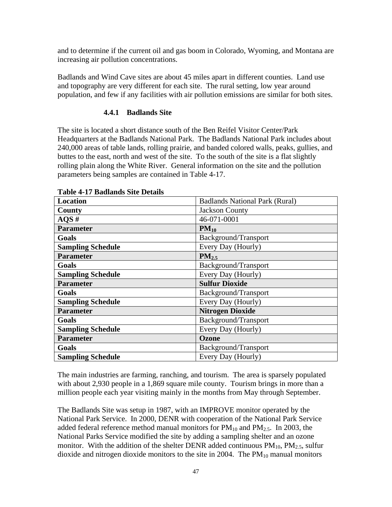and to determine if the current oil and gas boom in Colorado, Wyoming, and Montana are increasing air pollution concentrations.

Badlands and Wind Cave sites are about 45 miles apart in different counties. Land use and topography are very different for each site. The rural setting, low year around population, and few if any facilities with air pollution emissions are similar for both sites.

## **4.4.1 Badlands Site**

The site is located a short distance south of the Ben Reifel Visitor Center/Park Headquarters at the Badlands National Park. The Badlands National Park includes about 240,000 areas of table lands, rolling prairie, and banded colored walls, peaks, gullies, and buttes to the east, north and west of the site. To the south of the site is a flat slightly rolling plain along the White River. General information on the site and the pollution parameters being samples are contained in Table 4-17.

| <b>Location</b>          | <b>Badlands National Park (Rural)</b> |
|--------------------------|---------------------------------------|
| County                   | <b>Jackson County</b>                 |
| $AQS$ #                  | 46-071-0001                           |
| <b>Parameter</b>         | $PM_{10}$                             |
| Goals                    | Background/Transport                  |
| <b>Sampling Schedule</b> | Every Day (Hourly)                    |
| <b>Parameter</b>         | $PM_{2.5}$                            |
| Goals                    | Background/Transport                  |
| <b>Sampling Schedule</b> | Every Day (Hourly)                    |
| <b>Parameter</b>         | <b>Sulfur Dioxide</b>                 |
| Goals                    | Background/Transport                  |
| <b>Sampling Schedule</b> | Every Day (Hourly)                    |
| <b>Parameter</b>         | <b>Nitrogen Dioxide</b>               |
| Goals                    | Background/Transport                  |
| <b>Sampling Schedule</b> | Every Day (Hourly)                    |
| <b>Parameter</b>         | Ozone                                 |
| Goals                    | Background/Transport                  |
| <b>Sampling Schedule</b> | Every Day (Hourly)                    |

#### **Table 4-17 Badlands Site Details**

The main industries are farming, ranching, and tourism. The area is sparsely populated with about 2,930 people in a 1,869 square mile county. Tourism brings in more than a million people each year visiting mainly in the months from May through September.

The Badlands Site was setup in 1987, with an IMPROVE monitor operated by the National Park Service. In 2000, DENR with cooperation of the National Park Service added federal reference method manual monitors for  $PM_{10}$  and  $PM_{2.5}$ . In 2003, the National Parks Service modified the site by adding a sampling shelter and an ozone monitor. With the addition of the shelter DENR added continuous  $PM_{10}$ ,  $PM_{2.5}$ , sulfur dioxide and nitrogen dioxide monitors to the site in 2004. The  $PM_{10}$  manual monitors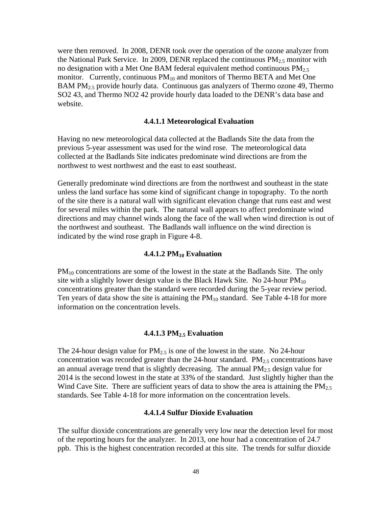were then removed. In 2008, DENR took over the operation of the ozone analyzer from the National Park Service. In 2009, DENR replaced the continuous  $PM_{2.5}$  monitor with no designation with a Met One BAM federal equivalent method continuous  $PM_{2.5}$ monitor. Currently, continuous  $PM_{10}$  and monitors of Thermo BETA and Met One BAM  $PM<sub>2.5</sub>$  provide hourly data. Continuous gas analyzers of Thermo ozone 49, Thermo SO2 43, and Thermo NO2 42 provide hourly data loaded to the DENR's data base and website.

#### **4.4.1.1 Meteorological Evaluation**

Having no new meteorological data collected at the Badlands Site the data from the previous 5-year assessment was used for the wind rose. The meteorological data collected at the Badlands Site indicates predominate wind directions are from the northwest to west northwest and the east to east southeast.

Generally predominate wind directions are from the northwest and southeast in the state unless the land surface has some kind of significant change in topography. To the north of the site there is a natural wall with significant elevation change that runs east and west for several miles within the park. The natural wall appears to affect predominate wind directions and may channel winds along the face of the wall when wind direction is out of the northwest and southeast. The Badlands wall influence on the wind direction is indicated by the wind rose graph in Figure 4-8.

#### **4.4.1.2 PM10 Evaluation**

 $PM_{10}$  concentrations are some of the lowest in the state at the Badlands Site. The only site with a slightly lower design value is the Black Hawk Site. No 24-hour  $PM_{10}$ concentrations greater than the standard were recorded during the 5-year review period. Ten years of data show the site is attaining the  $PM_{10}$  standard. See Table 4-18 for more information on the concentration levels.

#### **4.4.1.3 PM2.5 Evaluation**

The 24-hour design value for  $PM_{2.5}$  is one of the lowest in the state. No 24-hour concentration was recorded greater than the 24-hour standard.  $PM_{2.5}$  concentrations have an annual average trend that is slightly decreasing. The annual  $PM<sub>2.5</sub>$  design value for 2014 is the second lowest in the state at 33% of the standard. Just slightly higher than the Wind Cave Site. There are sufficient years of data to show the area is attaining the  $PM<sub>2.5</sub>$ standards. See Table 4-18 for more information on the concentration levels.

#### **4.4.1.4 Sulfur Dioxide Evaluation**

The sulfur dioxide concentrations are generally very low near the detection level for most of the reporting hours for the analyzer. In 2013, one hour had a concentration of 24.7 ppb. This is the highest concentration recorded at this site. The trends for sulfur dioxide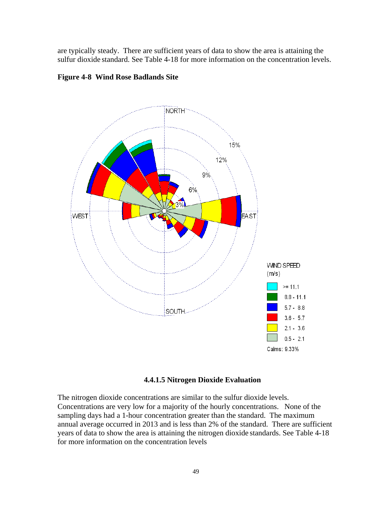are typically steady. There are sufficient years of data to show the area is attaining the sulfur dioxide standard. See Table 4-18 for more information on the concentration levels.



#### **Figure 4-8 Wind Rose Badlands Site**

**4.4.1.5 Nitrogen Dioxide Evaluation** 

The nitrogen dioxide concentrations are similar to the sulfur dioxide levels. Concentrations are very low for a majority of the hourly concentrations. None of the sampling days had a 1-hour concentration greater than the standard. The maximum annual average occurred in 2013 and is less than 2% of the standard. There are sufficient years of data to show the area is attaining the nitrogen dioxide standards. See Table 4-18 for more information on the concentration levels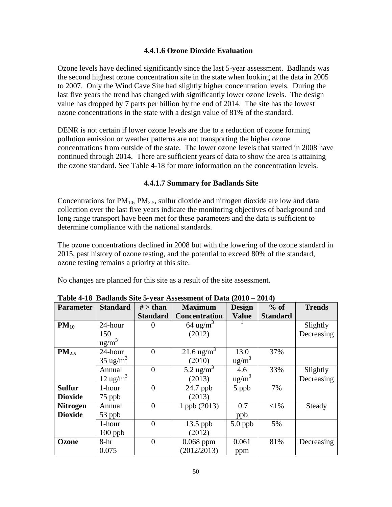### **4.4.1.6 Ozone Dioxide Evaluation**

Ozone levels have declined significantly since the last 5-year assessment. Badlands was the second highest ozone concentration site in the state when looking at the data in 2005 to 2007. Only the Wind Cave Site had slightly higher concentration levels. During the last five years the trend has changed with significantly lower ozone levels. The design value has dropped by 7 parts per billion by the end of 2014. The site has the lowest ozone concentrations in the state with a design value of 81% of the standard.

DENR is not certain if lower ozone levels are due to a reduction of ozone forming pollution emission or weather patterns are not transporting the higher ozone concentrations from outside of the state. The lower ozone levels that started in 2008 have continued through 2014. There are sufficient years of data to show the area is attaining the ozone standard. See Table 4-18 for more information on the concentration levels.

### **4.4.1.7 Summary for Badlands Site**

Concentrations for  $PM_{10}$ ,  $PM_{2.5}$ , sulfur dioxide and nitrogen dioxide are low and data collection over the last five years indicate the monitoring objectives of background and long range transport have been met for these parameters and the data is sufficient to determine compliance with the national standards.

The ozone concentrations declined in 2008 but with the lowering of the ozone standard in 2015, past history of ozone testing, and the potential to exceed 80% of the standard, ozone testing remains a priority at this site.

No changes are planned for this site as a result of the site assessment.

| <b>Parameter</b> | <b>Standard</b>     | $#$ > than      | Tubic + 10 Duununus Site s yeur Trocosment of Dutu (2010<br><b>Maximum</b> | <b>Design</b>   | $%$ of          | <b>Trends</b> |
|------------------|---------------------|-----------------|----------------------------------------------------------------------------|-----------------|-----------------|---------------|
|                  |                     | <b>Standard</b> | <b>Concentration</b>                                                       | <b>Value</b>    | <b>Standard</b> |               |
| $PM_{10}$        | 24-hour             | 0               | $64 \text{ ug/m}^3$                                                        |                 |                 | Slightly      |
|                  | 150                 |                 | (2012)                                                                     |                 |                 | Decreasing    |
|                  | $\text{ug/m}^3$     |                 |                                                                            |                 |                 |               |
| $PM_{2.5}$       | 24-hour             | $\overline{0}$  | 21.6 ug/m <sup>3</sup>                                                     | 13.0            | 37%             |               |
|                  | $35 \text{ ug/m}^3$ |                 | (2010)                                                                     | $\text{ug/m}^3$ |                 |               |
|                  | Annual              | $\overline{0}$  | 5.2 ug/m <sup>3</sup>                                                      | 4.6             | 33%             | Slightly      |
|                  | $12 \text{ ug/m}^3$ |                 | (2013)                                                                     | $\text{ug/m}^3$ |                 | Decreasing    |
| <b>Sulfur</b>    | 1-hour              | $\overline{0}$  | 24.7 ppb                                                                   | 5 ppb           | 7%              |               |
| <b>Dioxide</b>   | 75 ppb              |                 | (2013)                                                                     |                 |                 |               |
| <b>Nitrogen</b>  | Annual              | $\overline{0}$  | 1 ppb (2013)                                                               | 0.7             | $<$ 1%          | Steady        |
| <b>Dioxide</b>   | 53 ppb              |                 |                                                                            | ppb             |                 |               |
|                  | 1-hour              | $\overline{0}$  | $13.5$ ppb                                                                 | $5.0$ ppb       | 5%              |               |
|                  | $100$ ppb           |                 | (2012)                                                                     |                 |                 |               |
| Ozone            | 8-hr                | $\overline{0}$  | $0.068$ ppm                                                                | 0.061           | 81%             | Decreasing    |
|                  | 0.075               |                 | (2012/2013)                                                                | ppm             |                 |               |

**Table 4-18 Badlands Site 5-year Assessment of Data (2010 – 2014)**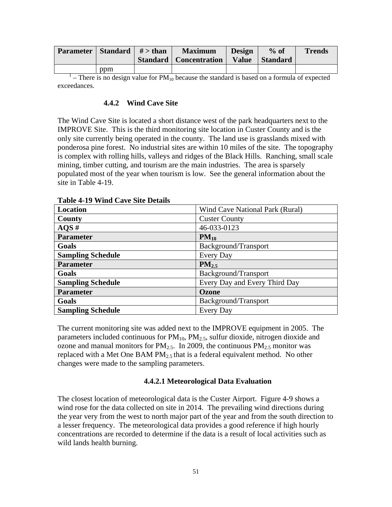| Parameter   Standard   $#$ > than |     | <b>Maximum</b>           | <b>Design</b> | $%$ of   | <b>Trends</b> |
|-----------------------------------|-----|--------------------------|---------------|----------|---------------|
|                                   |     | Standard   Concentration | <b>Value</b>  | Standard |               |
|                                   | ppm |                          |               |          |               |

 $1$  – There is no design value for  $PM_{10}$  because the standard is based on a formula of expected exceedances.

#### **4.4.2 Wind Cave Site**

The Wind Cave Site is located a short distance west of the park headquarters next to the IMPROVE Site. This is the third monitoring site location in Custer County and is the only site currently being operated in the county. The land use is grasslands mixed with ponderosa pine forest. No industrial sites are within 10 miles of the site. The topography is complex with rolling hills, valleys and ridges of the Black Hills. Ranching, small scale mining, timber cutting, and tourism are the main industries. The area is sparsely populated most of the year when tourism is low. See the general information about the site in Table 4-19.

| Location                 | Wind Cave National Park (Rural) |
|--------------------------|---------------------------------|
| County                   | <b>Custer County</b>            |
| AOS#                     | 46-033-0123                     |
| <b>Parameter</b>         | $PM_{10}$                       |
| Goals                    | Background/Transport            |
| <b>Sampling Schedule</b> | Every Day                       |
| <b>Parameter</b>         | $PM_{2.5}$                      |
| Goals                    | Background/Transport            |
| <b>Sampling Schedule</b> | Every Day and Every Third Day   |
| <b>Parameter</b>         | <b>Ozone</b>                    |
| Goals                    | Background/Transport            |
| <b>Sampling Schedule</b> | Every Day                       |

**Table 4-19 Wind Cave Site Details**

The current monitoring site was added next to the IMPROVE equipment in 2005. The parameters included continuous for  $PM_{10}$ ,  $PM_{2.5}$ , sulfur dioxide, nitrogen dioxide and ozone and manual monitors for PM<sub>2.5</sub>. In 2009, the continuous PM<sub>2.5</sub> monitor was replaced with a Met One BAM  $PM_{2.5}$  that is a federal equivalent method. No other changes were made to the sampling parameters.

#### **4.4.2.1 Meteorological Data Evaluation**

The closest location of meteorological data is the Custer Airport. Figure 4-9 shows a wind rose for the data collected on site in 2014. The prevailing wind directions during the year very from the west to north major part of the year and from the south direction to a lesser frequency. The meteorological data provides a good reference if high hourly concentrations are recorded to determine if the data is a result of local activities such as wild lands health burning.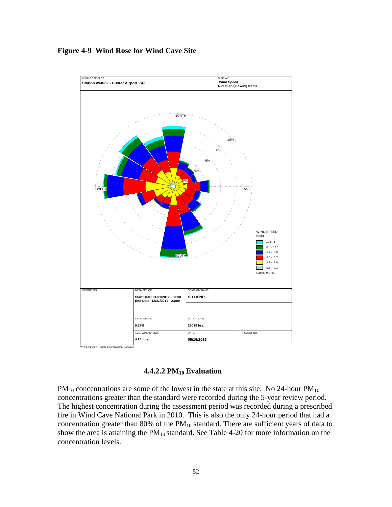#### **Figure 4-9 Wind Rose for Wind Cave Site**



#### **4.4.2.2 PM10 Evaluation**

 $PM_{10}$  concentrations are some of the lowest in the state at this site. No 24-hour  $PM_{10}$ concentrations greater than the standard were recorded during the 5-year review period. The highest concentration during the assessment period was recorded during a prescribed fire in Wind Cave National Park in 2010. This is also the only 24-hour period that had a concentration greater than 80% of the  $PM_{10}$  standard. There are sufficient years of data to show the area is attaining the  $PM_{10}$  standard. See Table 4-20 for more information on the concentration levels.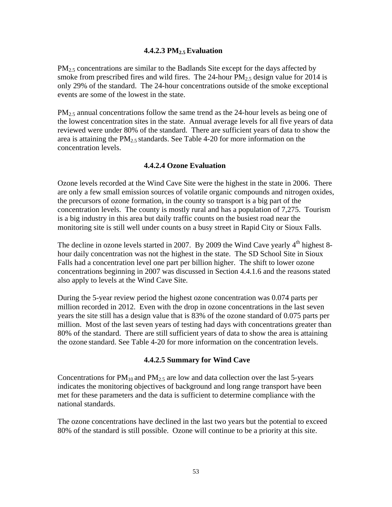#### **4.4.2.3 PM2.5 Evaluation**

 $PM<sub>2.5</sub> concentrations are similar to the Badlands Site except for the days affected by$ smoke from prescribed fires and wild fires. The 24-hour  $PM_{2.5}$  design value for 2014 is only 29% of the standard. The 24-hour concentrations outside of the smoke exceptional events are some of the lowest in the state.

PM<sub>2.5</sub> annual concentrations follow the same trend as the 24-hour levels as being one of the lowest concentration sites in the state. Annual average levels for all five years of data reviewed were under 80% of the standard. There are sufficient years of data to show the area is attaining the  $PM_{2.5}$  standards. See Table 4-20 for more information on the concentration levels.

#### **4.4.2.4 Ozone Evaluation**

Ozone levels recorded at the Wind Cave Site were the highest in the state in 2006. There are only a few small emission sources of volatile organic compounds and nitrogen oxides, the precursors of ozone formation, in the county so transport is a big part of the concentration levels. The county is mostly rural and has a population of 7,275. Tourism is a big industry in this area but daily traffic counts on the busiest road near the monitoring site is still well under counts on a busy street in Rapid City or Sioux Falls.

The decline in ozone levels started in 2007. By 2009 the Wind Cave yearly  $4<sup>th</sup>$  highest 8hour daily concentration was not the highest in the state. The SD School Site in Sioux Falls had a concentration level one part per billion higher. The shift to lower ozone concentrations beginning in 2007 was discussed in Section 4.4.1.6 and the reasons stated also apply to levels at the Wind Cave Site.

During the 5-year review period the highest ozone concentration was 0.074 parts per million recorded in 2012. Even with the drop in ozone concentrations in the last seven years the site still has a design value that is 83% of the ozone standard of 0.075 parts per million. Most of the last seven years of testing had days with concentrations greater than 80% of the standard. There are still sufficient years of data to show the area is attaining the ozone standard. See Table 4-20 for more information on the concentration levels.

#### **4.4.2.5 Summary for Wind Cave**

Concentrations for  $PM_{10}$  and  $PM_{2.5}$  are low and data collection over the last 5-years indicates the monitoring objectives of background and long range transport have been met for these parameters and the data is sufficient to determine compliance with the national standards.

The ozone concentrations have declined in the last two years but the potential to exceed 80% of the standard is still possible. Ozone will continue to be a priority at this site.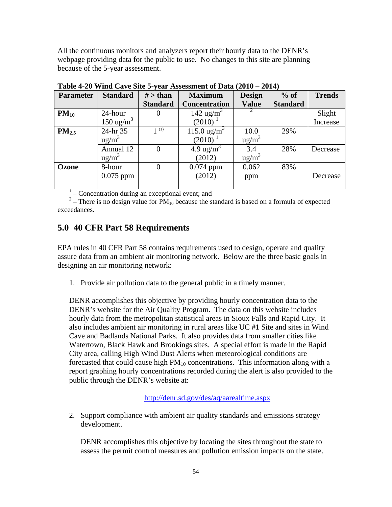All the continuous monitors and analyzers report their hourly data to the DENR's webpage providing data for the public to use. No changes to this site are planning because of the 5-year assessment.

| <b>Parameter</b>  | <b>Standard</b>      | $#$ > than      | <b>Maximum</b>          | <b>Design</b>   | $%$ of          | <b>Trends</b> |
|-------------------|----------------------|-----------------|-------------------------|-----------------|-----------------|---------------|
|                   |                      | <b>Standard</b> | <b>Concentration</b>    | <b>Value</b>    | <b>Standard</b> |               |
| $PM_{10}$         | 24-hour              | $\theta$        | 142 ug/m <sup>3</sup>   |                 |                 | Slight        |
|                   | $150 \text{ ug/m}^3$ |                 | (2010)                  |                 |                 | Increase      |
| PM <sub>2.5</sub> | 24-hr 35             | $1^{(1)}$       | 115.0 ug/m <sup>3</sup> | 10.0            | 29%             |               |
|                   | ug/m <sup>3</sup>    |                 | (2010)                  | $\text{ug/m}^3$ |                 |               |
|                   | Annual 12            | $\theta$        | 4.9 ug/m <sup>3</sup>   | 3.4             | 28%             | Decrease      |
|                   | $\text{ug/m}^3$      |                 | (2012)                  | $\text{ug/m}^3$ |                 |               |
| Ozone             | 8-hour               | 0               | $0.074$ ppm             | 0.062           | 83%             |               |
|                   | $0.075$ ppm          |                 | (2012)                  | ppm             |                 | Decrease      |
|                   |                      |                 |                         |                 |                 |               |

**Table 4-20 Wind Cave Site 5-year Assessment of Data (2010 – 2014)**

 $1 -$ Concentration during an exceptional event; and

 $2$  – There is no design value for  $PM_{10}$  because the standard is based on a formula of expected exceedances.

# **5.0 40 CFR Part 58 Requirements**

EPA rules in 40 CFR Part 58 contains requirements used to design, operate and quality assure data from an ambient air monitoring network. Below are the three basic goals in designing an air monitoring network:

1. Provide air pollution data to the general public in a timely manner.

DENR accomplishes this objective by providing hourly concentration data to the DENR's website for the Air Quality Program. The data on this website includes hourly data from the metropolitan statistical areas in Sioux Falls and Rapid City. It also includes ambient air monitoring in rural areas like UC #1 Site and sites in Wind Cave and Badlands National Parks. It also provides data from smaller cities like Watertown, Black Hawk and Brookings sites. A special effort is made in the Rapid City area, calling High Wind Dust Alerts when meteorological conditions are forecasted that could cause high  $PM_{10}$  concentrations. This information along with a report graphing hourly concentrations recorded during the alert is also provided to the public through the DENR's website at:

# http://denr.sd.gov/des/aq/aarealtime.aspx

2. Support compliance with ambient air quality standards and emissions strategy development.

DENR accomplishes this objective by locating the sites throughout the state to assess the permit control measures and pollution emission impacts on the state.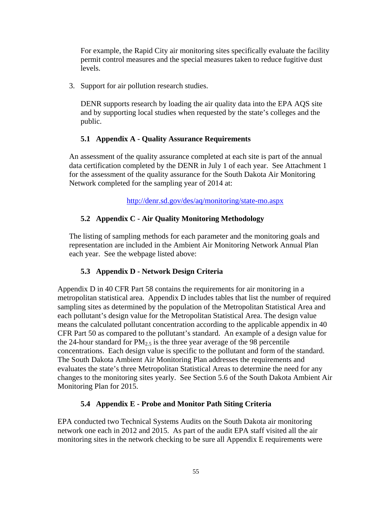For example, the Rapid City air monitoring sites specifically evaluate the facility permit control measures and the special measures taken to reduce fugitive dust levels.

3. Support for air pollution research studies.

DENR supports research by loading the air quality data into the EPA AQS site and by supporting local studies when requested by the state's colleges and the public.

# **5.1 Appendix A - Quality Assurance Requirements**

An assessment of the quality assurance completed at each site is part of the annual data certification completed by the DENR in July 1 of each year. See Attachment 1 for the assessment of the quality assurance for the South Dakota Air Monitoring Network completed for the sampling year of 2014 at:

http://denr.sd.gov/des/aq/monitoring/state-mo.aspx

# **5.2 Appendix C - Air Quality Monitoring Methodology**

The listing of sampling methods for each parameter and the monitoring goals and representation are included in the Ambient Air Monitoring Network Annual Plan each year. See the webpage listed above:

# **5.3 Appendix D - Network Design Criteria**

Appendix D in 40 CFR Part 58 contains the requirements for air monitoring in a metropolitan statistical area. Appendix D includes tables that list the number of required sampling sites as determined by the population of the Metropolitan Statistical Area and each pollutant's design value for the Metropolitan Statistical Area. The design value means the calculated pollutant concentration according to the applicable appendix in 40 CFR Part 50 as compared to the pollutant's standard. An example of a design value for the 24-hour standard for  $PM_{2.5}$  is the three year average of the 98 percentile concentrations. Each design value is specific to the pollutant and form of the standard. The South Dakota Ambient Air Monitoring Plan addresses the requirements and evaluates the state's three Metropolitan Statistical Areas to determine the need for any changes to the monitoring sites yearly. See Section 5.6 of the South Dakota Ambient Air Monitoring Plan for 2015.

# **5.4 Appendix E - Probe and Monitor Path Siting Criteria**

EPA conducted two Technical Systems Audits on the South Dakota air monitoring network one each in 2012 and 2015. As part of the audit EPA staff visited all the air monitoring sites in the network checking to be sure all Appendix E requirements were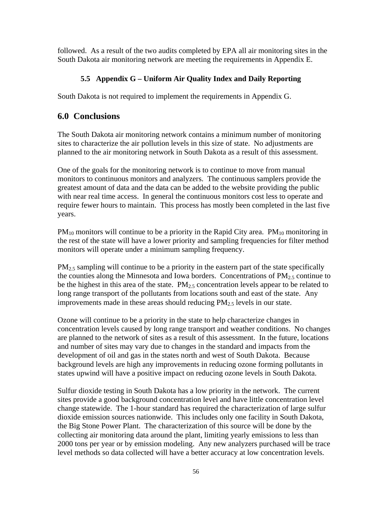followed. As a result of the two audits completed by EPA all air monitoring sites in the South Dakota air monitoring network are meeting the requirements in Appendix E.

# **5.5 Appendix G – Uniform Air Quality Index and Daily Reporting**

South Dakota is not required to implement the requirements in Appendix G.

# **6.0 Conclusions**

The South Dakota air monitoring network contains a minimum number of monitoring sites to characterize the air pollution levels in this size of state. No adjustments are planned to the air monitoring network in South Dakota as a result of this assessment.

One of the goals for the monitoring network is to continue to move from manual monitors to continuous monitors and analyzers. The continuous samplers provide the greatest amount of data and the data can be added to the website providing the public with near real time access. In general the continuous monitors cost less to operate and require fewer hours to maintain. This process has mostly been completed in the last five years.

 $PM_{10}$  monitors will continue to be a priority in the Rapid City area.  $PM_{10}$  monitoring in the rest of the state will have a lower priority and sampling frequencies for filter method monitors will operate under a minimum sampling frequency.

PM<sub>2.5</sub> sampling will continue to be a priority in the eastern part of the state specifically the counties along the Minnesota and Iowa borders. Concentrations of  $PM<sub>2.5</sub>$  continue to be the highest in this area of the state.  $PM_{2.5}$  concentration levels appear to be related to long range transport of the pollutants from locations south and east of the state. Any improvements made in these areas should reducing  $PM_{2.5}$  levels in our state.

Ozone will continue to be a priority in the state to help characterize changes in concentration levels caused by long range transport and weather conditions. No changes are planned to the network of sites as a result of this assessment. In the future, locations and number of sites may vary due to changes in the standard and impacts from the development of oil and gas in the states north and west of South Dakota. Because background levels are high any improvements in reducing ozone forming pollutants in states upwind will have a positive impact on reducing ozone levels in South Dakota.

Sulfur dioxide testing in South Dakota has a low priority in the network. The current sites provide a good background concentration level and have little concentration level change statewide. The 1-hour standard has required the characterization of large sulfur dioxide emission sources nationwide. This includes only one facility in South Dakota, the Big Stone Power Plant. The characterization of this source will be done by the collecting air monitoring data around the plant, limiting yearly emissions to less than 2000 tons per year or by emission modeling. Any new analyzers purchased will be trace level methods so data collected will have a better accuracy at low concentration levels.